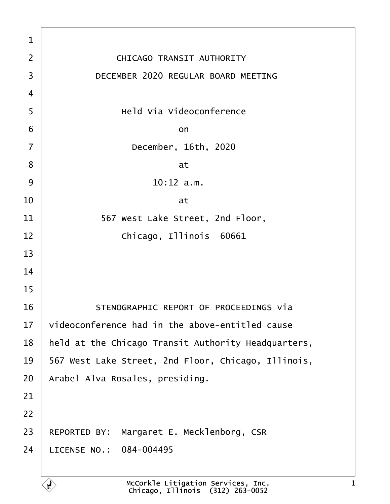| 1              |                                                     |
|----------------|-----------------------------------------------------|
| $\overline{2}$ | <b>CHICAGO TRANSIT AUTHORITY</b>                    |
| 3              | DECEMBER 2020 REGULAR BOARD MEETING                 |
| 4              |                                                     |
| 5              | <b>Held Via Videoconference</b>                     |
| 6              | on                                                  |
| $\overline{7}$ | December, 16th, 2020                                |
| 8              | at                                                  |
| 9              | $10:12$ a.m.                                        |
| 10             | at                                                  |
| 11             | 567 West Lake Street, 2nd Floor,                    |
| 12             | Chicago, Illinois 60661                             |
| 13             |                                                     |
| 14             |                                                     |
| 15             |                                                     |
| 16             | STENOGRAPHIC REPORT OF PROCEEDINGS via              |
| 17             | videoconference had in the above-entitled cause     |
| 18             | held at the Chicago Transit Authority Headquarters, |
| 19             | 567 West Lake Street, 2nd Floor, Chicago, Illinois, |
| 20             | Arabel Alva Rosales, presiding.                     |
| 21             |                                                     |
| 22             |                                                     |
| 23             | REPORTED BY: Margaret E. Mecklenborg, CSR           |
| 24             | LICENSE NO.: 084-004495                             |
|                |                                                     |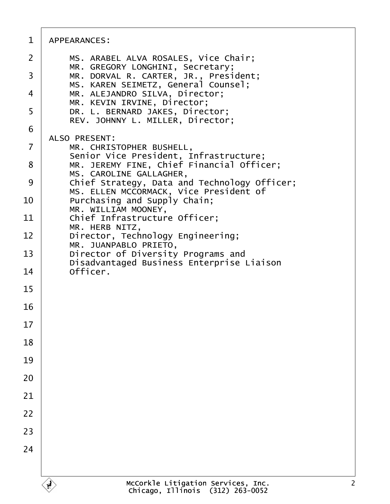| 1              | APPEARANCES:                                                                           |
|----------------|----------------------------------------------------------------------------------------|
| 2              | MS. ARABEL ALVA ROSALES, Vice Chair;<br>MR. GREGORY LONGHINI, Secretary;               |
| 3              | MR. DORVAL R. CARTER, JR., President;<br>MS. KAREN SEIMETZ, General Counsel;           |
| 4              | MR. ALEJANDRO SILVA, Director;<br>MR. KEVIN IRVINE, Director;                          |
| 5              | DR. L. BERNARD JAKES, Director;<br>REV. JOHNNY L. MILLER, Director;                    |
| 6              | <b>ALSO PRESENT:</b>                                                                   |
| $\overline{7}$ | MR. CHRISTOPHER BUSHELL,<br>Senior Vice President, Infrastructure;                     |
| 8              | MR. JEREMY FINE, Chief Financial Officer;<br>MS. CAROLINE GALLAGHER,                   |
| 9              | Chief Strategy, Data and Technology Officer;<br>MS. ELLEN MCCORMACK, Vice President of |
| 10             | Purchasing and Supply Chain;<br>MR. WILLIAM MOONEY,                                    |
| 11             | Chief Infrastructure Officer;<br>MR. HERB NITZ,                                        |
| 12             | Director, Technology Engineering;<br>MR. JUANPABLO PRIETO,                             |
| 13             | Director of Diversity Programs and<br>Disadvantaged Business Enterprise Liaison        |
| 14             | Officer.                                                                               |
| 15             |                                                                                        |
| 16             |                                                                                        |
| 17             |                                                                                        |
| 18             |                                                                                        |
| 19             |                                                                                        |
| 20             |                                                                                        |
| 21             |                                                                                        |
| 22             |                                                                                        |
| 23             |                                                                                        |
| 24             |                                                                                        |
|                |                                                                                        |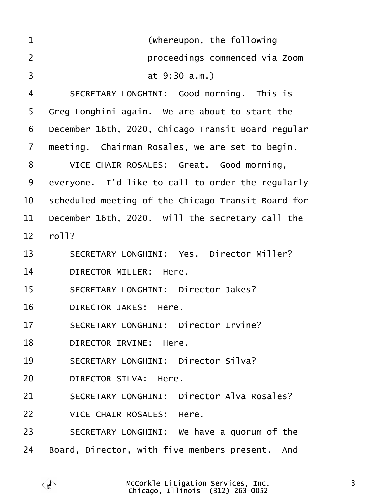<span id="page-2-0"></span>

| 1              | (Whereupon, the following                          |
|----------------|----------------------------------------------------|
| 2              | proceedings commenced via Zoom                     |
| 3              | at 9:30 a.m.)                                      |
| 4              | SECRETARY LONGHINI: Good morning. This is          |
| 5              | Greg Longhini again. We are about to start the     |
| 6              | December 16th, 2020, Chicago Transit Board regular |
| $\overline{7}$ | meeting. Chairman Rosales, we are set to begin.    |
| 8              | VICE CHAIR ROSALES: Great. Good morning,           |
| 9              | everyone. I'd like to call to order the regularly  |
| 10             | scheduled meeting of the Chicago Transit Board for |
| 11             | December 16th, 2020. Will the secretary call the   |
| 12             | roll?                                              |
| 13             | <b>SECRETARY LONGHINI: Yes. Director Miller?</b>   |
| 14             | <b>DIRECTOR MILLER: Here.</b>                      |
| 15             | <b>SECRETARY LONGHINI: Director Jakes?</b>         |
| 16             | <b>DIRECTOR JAKES: Here.</b>                       |
| 17             | <b>SECRETARY LONGHINI: Director Irvine?</b>        |
| 18             | <b>DIRECTOR IRVINE: Here.</b>                      |
| 19             | <b>SECRETARY LONGHINI: Director Silva?</b>         |
| 20             | <b>DIRECTOR SILVA: Here.</b>                       |
| 21             | <b>SECRETARY LONGHINI: Director Alva Rosales?</b>  |
| 22             | <b>VICE CHAIR ROSALES: Here.</b>                   |
| 23             | SECRETARY LONGHINI: We have a quorum of the        |
| 24             | Board, Director, with five members present. And    |
|                |                                                    |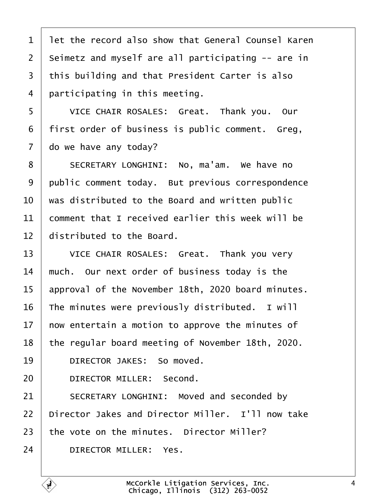<span id="page-3-0"></span>

| 1              | let the record also show that General Counsel Karen |
|----------------|-----------------------------------------------------|
| $\overline{2}$ | Seimetz and myself are all participating -- are in  |
| 3              | this building and that President Carter is also     |
| 4              | participating in this meeting.                      |
| 5              | VICE CHAIR ROSALES: Great. Thank you. Our           |
| 6              | first order of business is public comment. Greg,    |
| $\overline{7}$ | do we have any today?                               |
| 8              | SECRETARY LONGHINI: No, ma'am. We have no           |
| 9              | public comment today. But previous correspondence   |
| 10             | was distributed to the Board and written public     |
| 11             | comment that I received earlier this week will be   |
| 12             | distributed to the Board.                           |
| 13             | VICE CHAIR ROSALES: Great. Thank you very           |
| 14             | much. Our next order of business today is the       |
| 15             | approval of the November 18th, 2020 board minutes.  |
| 16             | The minutes were previously distributed. I will     |
| 17             | how entertain a motion to approve the minutes of    |
| 18             | the regular board meeting of November 18th, 2020.   |
| 19             | DIRECTOR JAKES: So moved.                           |
| 20             | <b>DIRECTOR MILLER: Second.</b>                     |
| 21             | <b>SECRETARY LONGHINI: Moved and seconded by</b>    |
| 22             | Director Jakes and Director Miller. I'll now take   |
| 23             | the vote on the minutes. Director Miller?           |
| 24             | <b>DIRECTOR MILLER: Yes.</b>                        |
|                |                                                     |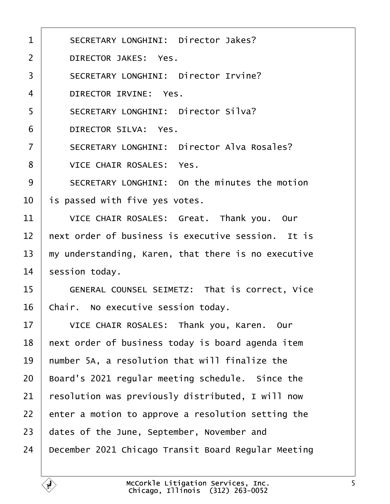<span id="page-4-0"></span>

| 1  | <b>SECRETARY LONGHINI: Director Jakes?</b>          |
|----|-----------------------------------------------------|
|    |                                                     |
| 2  | <b>DIRECTOR JAKES: Yes.</b>                         |
| 3  | <b>SECRETARY LONGHINI: Director Irvine?</b>         |
| 4  | DIRECTOR IRVINE: Yes.                               |
| 5  | <b>SECRETARY LONGHINI: Director Silva?</b>          |
| 6  | <b>DIRECTOR SILVA: Yes.</b>                         |
| 7  | <b>SECRETARY LONGHINI: Director Alva Rosales?</b>   |
| 8  | <b>VICE CHAIR ROSALES: Yes.</b>                     |
| 9  | SECRETARY LONGHINI: On the minutes the motion       |
| 10 | is passed with five yes votes.                      |
| 11 | VICE CHAIR ROSALES: Great. Thank you. Our           |
| 12 | hext order of business is executive session. It is  |
| 13 | my understanding, Karen, that there is no executive |
| 14 | session today.                                      |
| 15 | GENERAL COUNSEL SEIMETZ: That is correct, Vice      |
| 16 | Chair. No executive session today.                  |
| 17 | VICE CHAIR ROSALES: Thank you, Karen. Our           |
| 18 | hext order of business today is board agenda item   |
| 19 | humber 5A, a resolution that will finalize the      |
| 20 | Board's 2021 regular meeting schedule. Since the    |
| 21 | resolution was previously distributed, I will now   |
| 22 | enter a motion to approve a resolution setting the  |
| 23 | dates of the June, September, November and          |
| 24 | December 2021 Chicago Transit Board Regular Meeting |
|    |                                                     |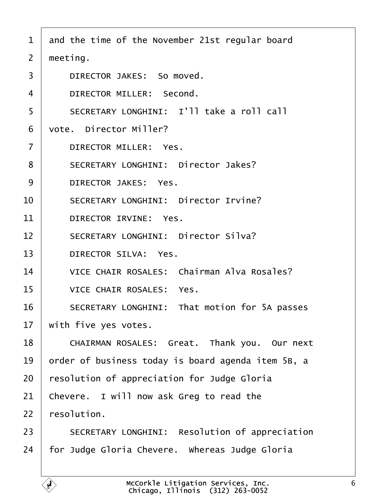- <span id="page-5-0"></span>1 and the time of the November 21st regular board
- 2 meeting.
- 3 | DIRECTOR JAKES: So moved.
- 4 | DIRECTOR MILLER: Second.
- 5 | SECRETARY LONGHINI: I'll take a roll call
- 6 vote. Director Miller?
- 7 | DIRECTOR MILLER: Yes.
- 8 | SECRETARY LONGHINI: Director Jakes?
- 9 DIRECTOR JAKES: Yes.
- 10 | SECRETARY LONGHINI: Director Irvine?
- 11 DIRECTOR IRVINE: Yes.
- 12 | SECRETARY LONGHINI: Director Silva?
- 13 | DIRECTOR SILVA: Yes.
- 14 | VICE CHAIR ROSALES: Chairman Alva Rosales?
- 15 | VICE CHAIR ROSALES: Yes.
- 16 | SECRETARY LONGHINI: That motion for 5A passes
- 17 with five yes votes.
- 18 | CHAIRMAN ROSALES: Great. Thank you. Our next
- 19 brder of business today is board agenda item 5B, a
- 20 resolution of appreciation for Judge Gloria
- 21 Chevere. I will now ask Greg to read the
- 22 resolution.
- 23 | SECRETARY LONGHINI: Resolution of appreciation
- 24 for Judge Gloria Chevere. Whereas Judge Gloria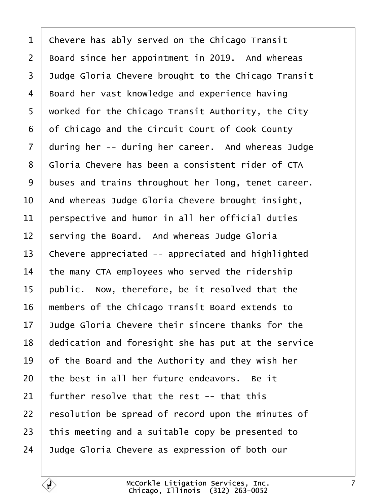<span id="page-6-0"></span>

| 1  | Chevere has ably served on the Chicago Transit      |
|----|-----------------------------------------------------|
| 2  | Board since her appointment in 2019. And whereas    |
| 3  | Judge Gloria Chevere brought to the Chicago Transit |
| 4  | Board her vast knowledge and experience having      |
| 5  | worked for the Chicago Transit Authority, the City  |
| 6  | of Chicago and the Circuit Court of Cook County     |
| 7  | during her -- during her career. And whereas Judge  |
| 8  | Gloria Chevere has been a consistent rider of CTA   |
| 9  | buses and trains throughout her long, tenet career. |
| 10 | And whereas Judge Gloria Chevere brought insight,   |
| 11 | perspective and humor in all her official duties    |
| 12 | serving the Board. And whereas Judge Gloria         |
| 13 | Chevere appreciated -- appreciated and highlighted  |
| 14 | the many CTA employees who served the ridership     |
| 15 | public. Now, therefore, be it resolved that the     |
| 16 | members of the Chicago Transit Board extends to     |
| 17 | Judge Gloria Chevere their sincere thanks for the   |
| 18 | dedication and foresight she has put at the service |
| 19 | of the Board and the Authority and they wish her    |
| 20 | the best in all her future endeavors. Be it         |
| 21 | further resolve that the rest -- that this          |
| 22 | resolution be spread of record upon the minutes of  |
| 23 | this meeting and a suitable copy be presented to    |
| 24 | Judge Gloria Chevere as expression of both our      |
|    |                                                     |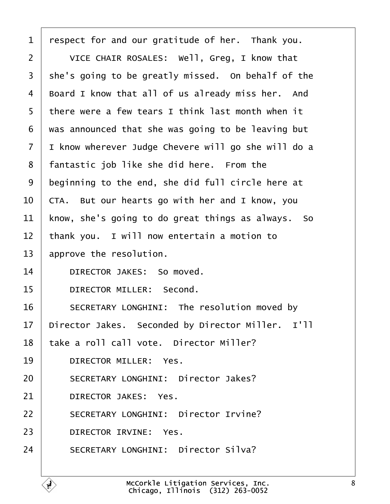<span id="page-7-0"></span>

| 1              | respect for and our gratitude of her. Thank you.    |
|----------------|-----------------------------------------------------|
| $\overline{2}$ | VICE CHAIR ROSALES: Well, Greg, I know that         |
| 3              | she's going to be greatly missed. On behalf of the  |
| 4              | Board I know that all of us already miss her. And   |
| 5              | there were a few tears I think last month when it   |
| 6              | was announced that she was going to be leaving but  |
| $\overline{7}$ | I know wherever Judge Chevere will go she will do a |
| 8              | fantastic job like she did here. From the           |
| 9              | beginning to the end, she did full circle here at   |
| 10             | CTA. But our hearts go with her and I know, you     |
| 11             | know, she's going to do great things as always. So  |
| 12             | thank you. I will now entertain a motion to         |
| 13             | approve the resolution.                             |
| 14             | DIRECTOR JAKES: So moved.                           |
| 15             | <b>DIRECTOR MILLER: Second.</b>                     |
| 16             | SECRETARY LONGHINI: The resolution moved by         |
| 17             | Director Jakes. Seconded by Director Miller. I'll   |
| 18             | take a roll call vote. Director Miller?             |
| 19             | <b>DIRECTOR MILLER: Yes.</b>                        |
| 20             | <b>SECRETARY LONGHINI: Director Jakes?</b>          |
| 21             | <b>DIRECTOR JAKES: Yes.</b>                         |
| 22             | <b>SECRETARY LONGHINI: Director Irvine?</b>         |
| 23             | <b>DIRECTOR IRVINE: Yes.</b>                        |
| 24             | <b>SECRETARY LONGHINI: Director Silva?</b>          |
|                |                                                     |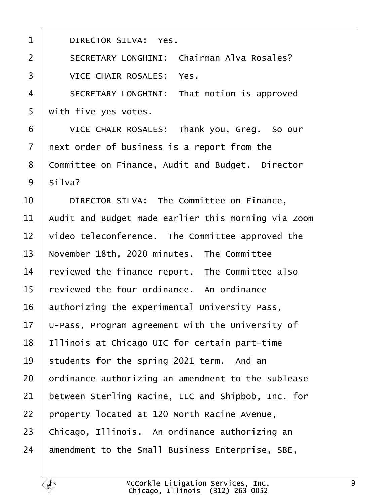<span id="page-8-0"></span>

| 1              | <b>DIRECTOR SILVA: Yes.</b>                         |
|----------------|-----------------------------------------------------|
| $\overline{2}$ | <b>SECRETARY LONGHINI: Chairman Alva Rosales?</b>   |
| 3              | <b>VICE CHAIR ROSALES: Yes.</b>                     |
| $\overline{4}$ | SECRETARY LONGHINI: That motion is approved         |
| 5              | with five yes votes.                                |
| 6              | VICE CHAIR ROSALES: Thank you, Greg. So our         |
| 7              | next order of business is a report from the         |
| 8              | Committee on Finance, Audit and Budget. Director    |
| 9              | Silva?                                              |
| 10             | DIRECTOR SILVA: The Committee on Finance,           |
| 11             | Audit and Budget made earlier this morning via Zoom |
| 12             | video teleconference. The Committee approved the    |
| 13             | November 18th, 2020 minutes. The Committee          |
| 14             | reviewed the finance report. The Committee also     |
| 15             | reviewed the four ordinance. An ordinance           |
| 16             | authorizing the experimental University Pass,       |
| 17             | U-Pass, Program agreement with the University of    |
| 18             | Illinois at Chicago UIC for certain part-time       |
| 19             | students for the spring 2021 term. And an           |
| 20             | prdinance authorizing an amendment to the sublease  |
| 21             | between Sterling Racine, LLC and Shipbob, Inc. for  |
| 22             | property located at 120 North Racine Avenue,        |
| 23             | Chicago, Illinois. An ordinance authorizing an      |
| 24             | amendment to the Small Business Enterprise, SBE,    |
|                |                                                     |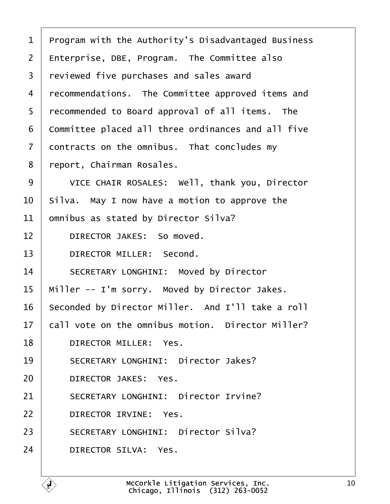<span id="page-9-0"></span>

|  |  |  | 1 Program with the Authority's Disadvantaged Business |  |
|--|--|--|-------------------------------------------------------|--|
|--|--|--|-------------------------------------------------------|--|

- 2  $E$ nterprise, DBE, Program. The Committee also
- 3 reviewed five purchases and sales award
- 4 recommendations. The Committee approved items and
- 5 recommended to Board approval of all items. The
- 6 Committee placed all three ordinances and all five
- 7 dontracts on the omnibus. That concludes my
- 8 report, Chairman Rosales.
- 9 | VICE CHAIR ROSALES: Well, thank you, Director
- 10 Silva. May I now have a motion to approve the
- 11 b omnibus as stated by Director Silva?
- 12 | DIRECTOR JAKES: So moved.
- 13 | DIRECTOR MILLER: Second.
- 14 | SECRETARY LONGHINI: Moved by Director
- 15 Miller -- I'm sorry. Moved by Director Jakes.
- 16 Seconded by Director Miller. And I'll take a roll
- 17 **call vote on the omnibus motion. Director Miller?**
- 18 | DIRECTOR MILLER: Yes.
- 19 | SECRETARY LONGHINI: Director Jakes?
- 20 | DIRECTOR JAKES: Yes.
- 21 | SECRETARY LONGHINI: Director Irvine?
- 22 | DIRECTOR IRVINE: Yes.
- 23 | SECRETARY LONGHINI: Director Silva?
- 24 | DIRECTOR SILVA: Yes.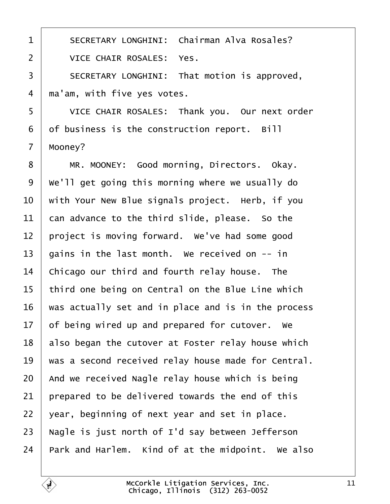<span id="page-10-0"></span>

| 1              | <b>SECRETARY LONGHINI: Chairman Alva Rosales?</b>   |
|----------------|-----------------------------------------------------|
| $\overline{2}$ | <b>VICE CHAIR ROSALES: Yes.</b>                     |
| 3              | SECRETARY LONGHINI: That motion is approved,        |
| 4              | ma'am, with five yes votes.                         |
| 5              | VICE CHAIR ROSALES: Thank you. Our next order       |
| 6              | of business is the construction report. Bill        |
| $\overline{7}$ | Mooney?                                             |
| 8              | MR. MOONEY: Good morning, Directors. Okay.          |
| 9              | We'll get going this morning where we usually do    |
| 10             | with Your New Blue signals project. Herb, if you    |
| 11             | can advance to the third slide, please. So the      |
| 12             | project is moving forward. We've had some good      |
| 13             | gains in the last month. We received on -- in       |
| 14             | Chicago our third and fourth relay house. The       |
| 15             | third one being on Central on the Blue Line which   |
| 16             | was actually set and in place and is in the process |
| 17             | of being wired up and prepared for cutover. We      |
| 18             | also began the cutover at Foster relay house which  |
| 19             | was a second received relay house made for Central. |
| 20             | And we received Nagle relay house which is being    |
| 21             | prepared to be delivered towards the end of this    |
| 22             | year, beginning of next year and set in place.      |
| 23             | Nagle is just north of I'd say between Jefferson    |
| 24             | Park and Harlem. Kind of at the midpoint. We also   |
|                |                                                     |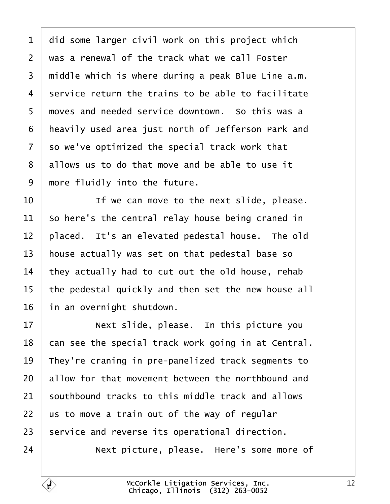<span id="page-11-0"></span>

| 1              | did some larger civil work on this project which    |
|----------------|-----------------------------------------------------|
| $\overline{2}$ | was a renewal of the track what we call Foster      |
| 3              | middle which is where during a peak Blue Line a.m.  |
| 4              | service return the trains to be able to facilitate  |
| 5              | moves and needed service downtown. So this was a    |
| 6              | heavily used area just north of Jefferson Park and  |
| 7              | so we've optimized the special track work that      |
| 8              | allows us to do that move and be able to use it     |
| 9              | more fluidly into the future.                       |
| 10             | If we can move to the next slide, please.           |
| 11             | So here's the central relay house being craned in   |
| 12             | placed. It's an elevated pedestal house. The old    |
| 13             | house actually was set on that pedestal base so     |
| 14             | they actually had to cut out the old house, rehab   |
| 15             | the pedestal quickly and then set the new house all |
| 16             | in an overnight shutdown.                           |
| 17             | Next slide, please. In this picture you             |
| 18             | can see the special track work going in at Central. |
| 19             | They're craning in pre-panelized track segments to  |
| 20             | allow for that movement between the northbound and  |
| 21             | southbound tracks to this middle track and allows   |
| 22             | us to move a train out of the way of regular        |
| 23             | service and reverse its operational direction.      |
| 24             | Next picture, please. Here's some more of           |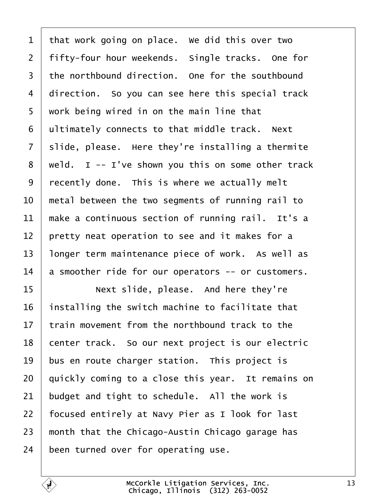<span id="page-12-0"></span>

| $\mathbf 1$    | that work going on place. We did this over two     |
|----------------|----------------------------------------------------|
| 2              | fifty-four hour weekends. Single tracks. One for   |
| 3              | the northbound direction. One for the southbound   |
| 4              | direction. So you can see here this special track  |
| 5              | work being wired in on the main line that          |
| 6              | ultimately connects to that middle track. Next     |
| $\overline{7}$ | slide, please. Here they're installing a thermite  |
| 8              | weld. I -- I've shown you this on some other track |
| 9              | recently done. This is where we actually melt      |
| 10             | metal between the two segments of running rail to  |
| 11             | make a continuous section of running rail. It's a  |
| 12             | pretty neat operation to see and it makes for a    |
| 13             | longer term maintenance piece of work. As well as  |
| 14             | a smoother ride for our operators -- or customers. |
| 15             | Next slide, please. And here they're               |
| 16             | installing the switch machine to facilitate that   |
| 17             | train movement from the northbound track to the    |
| 18             | center track. So our next project is our electric  |
| 19             | bus en route charger station. This project is      |
| 20             | quickly coming to a close this year. It remains on |
| 21             | budget and tight to schedule. All the work is      |
| 22             | focused entirely at Navy Pier as I look for last   |
| 23             | month that the Chicago-Austin Chicago garage has   |
| 24             | been turned over for operating use.                |

 $\sqrt{ }$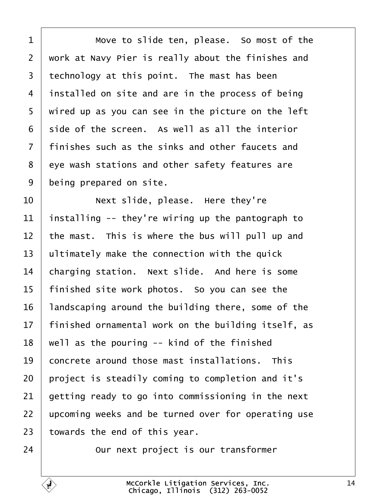<span id="page-13-0"></span>

| 1               | Move to slide ten, please. So most of the           |
|-----------------|-----------------------------------------------------|
| $\overline{2}$  | work at Navy Pier is really about the finishes and  |
| 3               | technology at this point. The mast has been         |
| 4               | installed on site and are in the process of being   |
| 5               | wired up as you can see in the picture on the left  |
| 6               | side of the screen. As well as all the interior     |
| $\overline{7}$  | finishes such as the sinks and other faucets and    |
| 8               | eye wash stations and other safety features are     |
| 9               | being prepared on site.                             |
| 10              | Next slide, please. Here they're                    |
| 11              | installing -- they're wiring up the pantograph to   |
| 12              | the mast. This is where the bus will pull up and    |
| 13              | ultimately make the connection with the quick       |
| 14              | charging station. Next slide. And here is some      |
| 15              | finished site work photos. So you can see the       |
| 16              | andscaping around the building there, some of the   |
| 17 <sub>1</sub> | finished ornamental work on the building itself, as |
| 18              | well as the pouring -- kind of the finished         |
| 19              | concrete around those mast installations. This      |
| 20              | project is steadily coming to completion and it's   |
| 21              | getting ready to go into commissioning in the next  |
| 22              | upcoming weeks and be turned over for operating use |
| 23              | towards the end of this year.                       |
| 24              | Our next project is our transformer                 |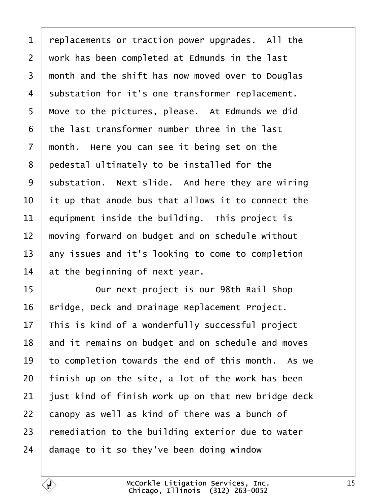<span id="page-14-0"></span>

| 1              | replacements or traction power upgrades. All the    |
|----------------|-----------------------------------------------------|
| $\overline{2}$ | work has been completed at Edmunds in the last      |
| 3              | month and the shift has now moved over to Douglas   |
| 4              | substation for it's one transformer replacement.    |
| 5              | Move to the pictures, please. At Edmunds we did     |
| 6              | the last transformer number three in the last       |
| 7              | month. Here you can see it being set on the         |
| 8              | pedestal ultimately to be installed for the         |
| 9              | substation. Next slide. And here they are wiring    |
| 10             | it up that anode bus that allows it to connect the  |
| 11             | equipment inside the building. This project is      |
| 12             | moving forward on budget and on schedule without    |
| 13             | any issues and it's looking to come to completion   |
| 14             | at the beginning of next year.                      |
| 15             | Our next project is our 98th Rail Shop              |
| 16             | Bridge, Deck and Drainage Replacement Project.      |
| 17             | This is kind of a wonderfully successful project    |
| 18             | and it remains on budget and on schedule and moves  |
| 19             | to completion towards the end of this month. As we  |
| 20             | finish up on the site, a lot of the work has been   |
| 21             | just kind of finish work up on that new bridge deck |
| 22             | canopy as well as kind of there was a bunch of      |
| 23             | remediation to the building exterior due to water   |
| 24             | damage to it so they've been doing window           |
|                |                                                     |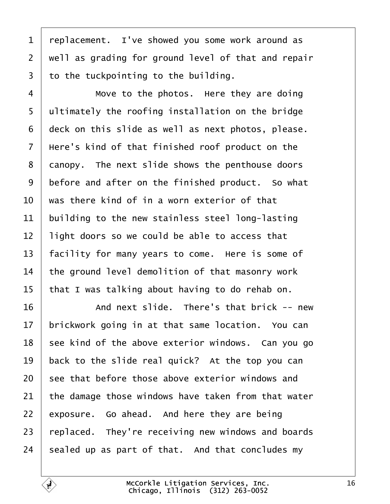<span id="page-15-0"></span>

| 1               | replacement. I've showed you some work around as    |
|-----------------|-----------------------------------------------------|
| $\overline{2}$  | well as grading for ground level of that and repair |
| 3               | to the tuckpointing to the building.                |
| 4               | Move to the photos. Here they are doing             |
| 5               | ultimately the roofing installation on the bridge   |
| 6               | deck on this slide as well as next photos, please.  |
| $\overline{7}$  | Here's kind of that finished roof product on the    |
| 8               | danopy. The next slide shows the penthouse doors    |
| 9               | before and after on the finished product. So what   |
| 10              | was there kind of in a worn exterior of that        |
| 11              | building to the new stainless steel long-lasting    |
| 12              | light doors so we could be able to access that      |
| 13              | facility for many years to come. Here is some of    |
| 14              | the ground level demolition of that masonry work    |
| 15              | that I was talking about having to do rehab on.     |
| 16              | And next slide. There's that brick -- new           |
| 17 <sub>1</sub> | brickwork going in at that same location. You can   |
| 18              | see kind of the above exterior windows. Can you go  |
| 19              | back to the slide real quick? At the top you can    |
| 20              | see that before those above exterior windows and    |
| 21              | the damage those windows have taken from that water |
| 22              | exposure. Go ahead. And here they are being         |
| 23              | replaced. They're receiving new windows and boards  |
| 24              | sealed up as part of that. And that concludes my    |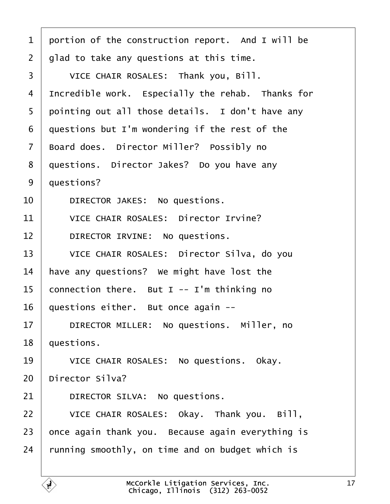- <span id="page-16-0"></span>1 portion of the construction report. And I will be
- 2 diad to take any questions at this time.
- 3 | VICE CHAIR ROSALES: Thank you, Bill.
- 4 Incredible work. Especially the rehab. Thanks for
- 5 pointing out all those details. I don't have any
- 6 duestions but I'm wondering if the rest of the
- 7 Board does. Director Miller? Possibly no
- 8 duestions. Director Jakes? Do you have any
- 9 duestions?
- 10 | DIRECTOR JAKES: No questions.
- 11 | VICE CHAIR ROSALES: Director Irvine?
- 12 | DIRECTOR IRVINE: No questions.
- 13 | VICE CHAIR ROSALES: Director Silva, do you
- 14 have any questions? We might have lost the
- 15 connection there. But I -- I'm thinking no
- 16 duestions either. But once again --
- 17 | DIRECTOR MILLER: No questions. Miller, no
- 18 *questions.*
- 19 | VICE CHAIR ROSALES: No questions. Okay.
- 20 Director Silva?
- 21 | DIRECTOR SILVA: No questions.
- 22 | VICE CHAIR ROSALES: Okay. Thank you. Bill,
- 23 bnce again thank you. Because again everything is
- 24 running smoothly, on time and on budget which is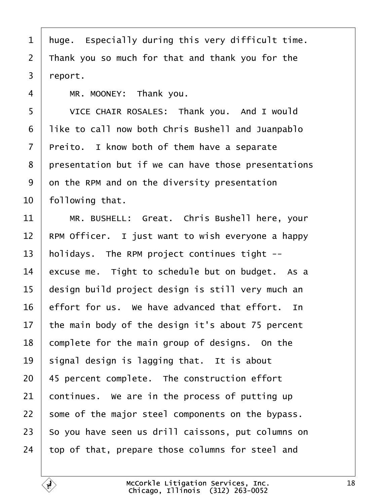- <span id="page-17-0"></span>1 huge. Especially during this very difficult time.
- 2 Thank you so much for that and thank you for the
- 3 report.
- 4 | MR. MOONEY: Thank you.
- 5 | VICE CHAIR ROSALES: Thank you. And I would
- 6 like to call now both Chris Bushell and Juanpablo
- 7 Preito. I know both of them have a separate
- 8 presentation but if we can have those presentations
- 9 dn the RPM and on the diversity presentation
- 10 following that.
- 11 | MR. BUSHELL: Great. Chris Bushell here, your
- 12 RPM Officer. I just want to wish everyone a happy
- 13 holidays. The RPM project continues tight --
- 14 excuse me. Tight to schedule but on budget. As a
- 15 design build project design is still very much an
- 16 effort for us. We have advanced that effort. In
- 17 the main body of the design it's about 75 percent
- 18 complete for the main group of designs. On the
- 19  $\,$  signal design is lagging that. It is about
- 20 45 percent complete. The construction effort
- 21 continues. We are in the process of putting up
- 22 some of the major steel components on the bypass.
- 23 So you have seen us drill caissons, put columns on
- 24 top of that, prepare those columns for steel and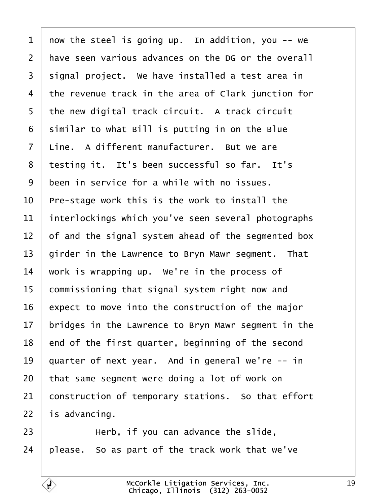<span id="page-18-0"></span>

| 1               | now the steel is going up. In addition, you -- we   |
|-----------------|-----------------------------------------------------|
| $\overline{2}$  | have seen various advances on the DG or the overall |
| 3               | signal project. We have installed a test area in    |
| 4               | the revenue track in the area of Clark junction for |
| 5               | the new digital track circuit. A track circuit      |
| 6               | similar to what Bill is putting in on the Blue      |
| 7               | Line. A different manufacturer. But we are          |
| 8               | testing it. It's been successful so far. It's       |
| 9               | been in service for a while with no issues.         |
| 10              | Pre-stage work this is the work to install the      |
| 11              | interlockings which you've seen several photographs |
| 12              | of and the signal system ahead of the segmented box |
| 13              | girder in the Lawrence to Bryn Mawr segment. That   |
| 14              | work is wrapping up. We're in the process of        |
| 15              | commissioning that signal system right now and      |
| 16              | expect to move into the construction of the major   |
| 17 <sub>1</sub> | bridges in the Lawrence to Bryn Mawr segment in the |
| 18              | end of the first quarter, beginning of the second   |
| 19              | quarter of next year. And in general we're -- in    |
| 20              | that same segment were doing a lot of work on       |
| 21              | construction of temporary stations. So that effort  |
| 22              | is advancing.                                       |
| 23              | Herb, if you can advance the slide,                 |
| 24              | please. So as part of the track work that we've     |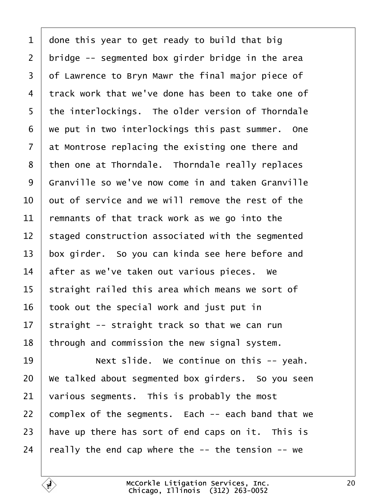<span id="page-19-0"></span>

| 1  | done this year to get ready to build that big      |
|----|----------------------------------------------------|
| 2  | bridge -- segmented box girder bridge in the area  |
| 3  | of Lawrence to Bryn Mawr the final major piece of  |
| 4  | track work that we've done has been to take one of |
| 5  | the interlockings. The older version of Thorndale  |
| 6  | we put in two interlockings this past summer. One  |
| 7  | at Montrose replacing the existing one there and   |
| 8  | then one at Thorndale. Thorndale really replaces   |
| 9  | Granville so we've now come in and taken Granville |
| 10 | but of service and we will remove the rest of the  |
| 11 | remnants of that track work as we go into the      |
| 12 | staged construction associated with the segmented  |
| 13 | box girder. So you can kinda see here before and   |
| 14 | after as we've taken out various pieces. We        |
| 15 | straight railed this area which means we sort of   |
| 16 | took out the special work and just put in          |
| 17 | straight -- straight track so that we can run      |
| 18 | through and commission the new signal system.      |
| 19 | Next slide. We continue on this -- yeah.           |
| 20 | We talked about segmented box girders. So you seen |
| 21 | various segments. This is probably the most        |
| 22 | complex of the segments. Each -- each band that we |
| 23 | have up there has sort of end caps on it. This is  |
| 24 | really the end cap where the -- the tension -- we  |
|    |                                                    |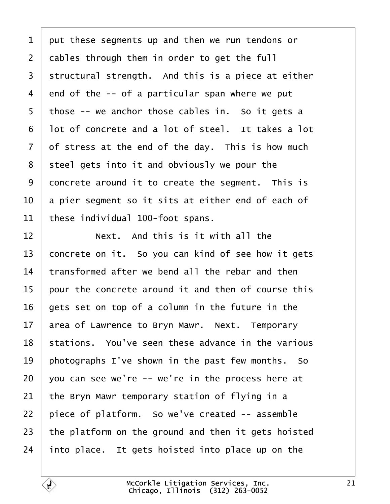<span id="page-20-0"></span>1 put these segments up and then we run tendons or 2 dables through them in order to get the full 3 structural strength. And this is a piece at either 4 end of the -- of a particular span where we put 5 those -- we anchor those cables in. So it gets a 6 lot of concrete and a lot of steel. It takes a lot 7 of stress at the end of the day. This is how much 8 steel gets into it and obviously we pour the 9 doncrete around it to create the segment. This is 10 a pier segment so it sits at either end of each of 11 these individual 100-foot spans.  $12$  **Next.** And this is it with all the 13 concrete on it. So you can kind of see how it gets 14 transformed after we bend all the rebar and then 15 bour the concrete around it and then of course this 16 gets set on top of a column in the future in the 17 area of Lawrence to Bryn Mawr. Next. Temporary 18 stations. You've seen these advance in the various 19 photographs I've shown in the past few months. So 20  $\sqrt{v}$  you can see we're  $\overline{v}$  - we're in the process here at 21 the Bryn Mawr temporary station of flying in a 22 piece of platform. So we've created -- assemble 23 the platform on the ground and then it gets hoisted 24 into place. It gets hoisted into place up on the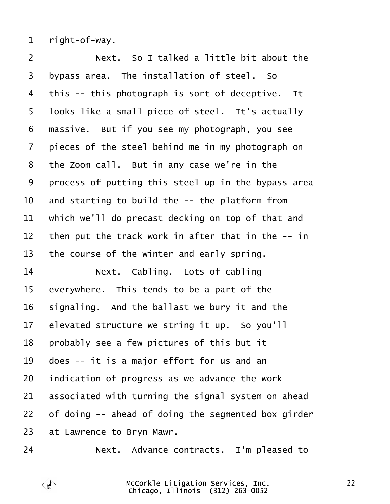<span id="page-21-0"></span>1 right-of-way.

 $2 \mid$  Next. So I talked a little bit about the 3 bypass area. The installation of steel. So 4 this -- this photograph is sort of deceptive. It 5 looks like a small piece of steel. It's actually 6 massive. But if you see my photograph, you see 7 bieces of the steel behind me in my photograph on 8 the Zoom call. But in any case we're in the 9 process of putting this steel up in the bypass area 10  $\mu$  and starting to build the -- the platform from 11 which we'll do precast decking on top of that and 12 then put the track work in after that in the  $-$  in 13 the course of the winter and early spring. 14 | Next. Cabling. Lots of cabling 15 everywhere. This tends to be a part of the 16 signaling. And the ballast we bury it and the 17 elevated structure we string it up. So you'll 18 probably see a few pictures of this but it 19 does -- it is a major effort for us and an 20 indication of progress as we advance the work 21 associated with turning the signal system on ahead 22  $\theta$  of doing -- ahead of doing the segmented box girder 23 at Lawrence to Bryn Mawr. 24 **Next.** Advance contracts. I'm pleased to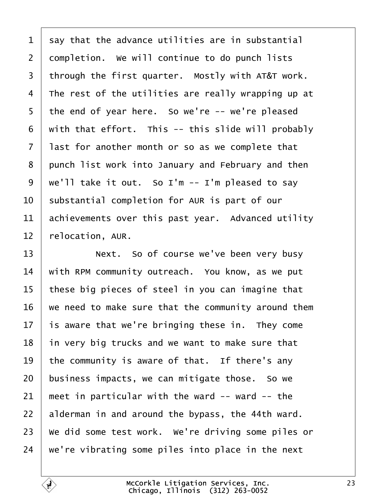<span id="page-22-0"></span>

| 1  | say that the advance utilities are in substantial   |
|----|-----------------------------------------------------|
| 2  | dompletion. We will continue to do punch lists      |
| 3  | through the first quarter. Mostly with AT&T work.   |
| 4  | The rest of the utilities are really wrapping up at |
| 5  | the end of year here. So we're -- we're pleased     |
| 6  | with that effort. This -- this slide will probably  |
| 7  | last for another month or so as we complete that    |
| 8  | punch list work into January and February and then  |
| 9  | we'll take it out. So I'm -- I'm pleased to say     |
| 10 | substantial completion for AUR is part of our       |
| 11 | achievements over this past year. Advanced utility  |
| 12 | relocation, AUR.                                    |
| 13 | Next. So of course we've been very busy             |
| 14 | with RPM community outreach. You know, as we put    |
| 15 | these big pieces of steel in you can imagine that   |
|    |                                                     |
| 16 | we need to make sure that the community around them |
| 17 | is aware that we're bringing these in. They come    |
| 18 | in very big trucks and we want to make sure that    |
| 19 | the community is aware of that. If there's any      |
| 20 | business impacts, we can mitigate those. So we      |
| 21 | meet in particular with the ward -- ward -- the     |
| 22 | alderman in and around the bypass, the 44th ward.   |
| 23 | We did some test work. We're driving some piles or  |
| 24 | we're vibrating some piles into place in the next   |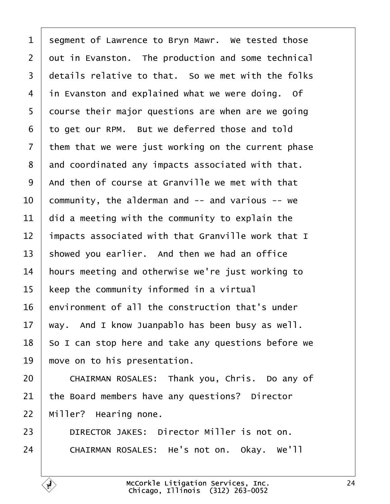<span id="page-23-0"></span>

| 1               | segment of Lawrence to Bryn Mawr. We tested those   |
|-----------------|-----------------------------------------------------|
| $\overline{2}$  | dut in Evanston. The production and some technical  |
| 3               | details relative to that. So we met with the folks  |
| 4               | in Evanston and explained what we were doing. Of    |
| 5               | dourse their major questions are when are we going  |
| 6               | to get our RPM. But we deferred those and told      |
| 7               | them that we were just working on the current phase |
| 8               | and coordinated any impacts associated with that.   |
| 9               | And then of course at Granville we met with that    |
| 10              | community, the alderman and -- and various -- we    |
| 11              | did a meeting with the community to explain the     |
| 12              | Impacts associated with that Granville work that I  |
| 13              | showed you earlier. And then we had an office       |
| 14              | hours meeting and otherwise we're just working to   |
| 15              | keep the community informed in a virtual            |
| 16              | environment of all the construction that's under    |
| 17 <sub>1</sub> | way. And I know Juanpablo has been busy as well.    |
| 18              | So I can stop here and take any questions before we |
| 19              | move on to his presentation.                        |
| 20              | CHAIRMAN ROSALES: Thank you, Chris. Do any of       |
| 21              | the Board members have any questions? Director      |
| 22              | Miller? Hearing none.                               |
| 23              | DIRECTOR JAKES: Director Miller is not on.          |
| 24              | CHAIRMAN ROSALES: He's not on. Okay. We'll          |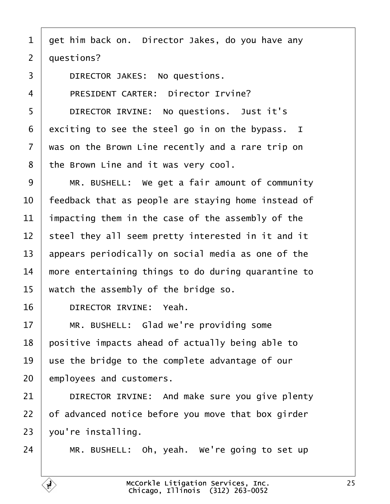- <span id="page-24-0"></span>1 get him back on. Director Jakes, do you have any
- 2 duestions?
- 3 | DIRECTOR JAKES: No questions.
- 4 | PRESIDENT CARTER: Director Irvine?
- 5 | DIRECTOR IRVINE: No questions. Just it's
- 6 exciting to see the steel go in on the bypass. I
- 7 was on the Brown Line recently and a rare trip on
- 8 the Brown Line and it was very cool.
- 9 | MR. BUSHELL: We get a fair amount of community
- 10 feedback that as people are staying home instead of
- 11 impacting them in the case of the assembly of the
- 12 steel they all seem pretty interested in it and it
- 13 appears periodically on social media as one of the
- 14 more entertaining things to do during quarantine to
- 15 watch the assembly of the bridge so.
- 16 | DIRECTOR IRVINE: Yeah.
- 17 | MR. BUSHELL: Glad we're providing some
- 18 positive impacts ahead of actually being able to
- 19 use the bridge to the complete advantage of our
- 20 employees and customers.
- 21 | DIRECTOR IRVINE: And make sure you give plenty
- 22 b fadvanced notice before you move that box girder
- 23  $\sqrt{v}$ ou're installing.
- 24  $\parallel$  MR. BUSHELL: Oh, yeah. We're going to set up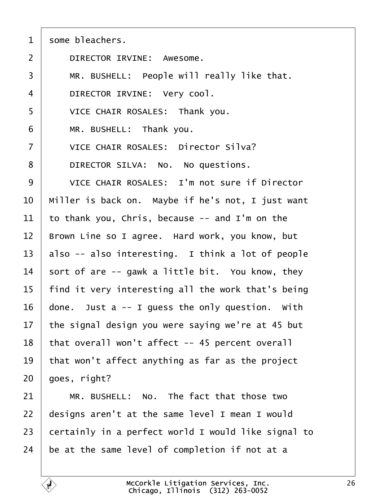<span id="page-25-0"></span>

| some bleachers. |
|-----------------|
|-----------------|

- 2 | DIRECTOR IRVINE: Awesome.
- 3 | MR. BUSHELL: People will really like that.
- 4 | DIRECTOR IRVINE: Very cool.
- 5 | VICE CHAIR ROSALES: Thank you.
- $6$  | MR. BUSHELL: Thank you.
- 7 | VICE CHAIR ROSALES: Director Silva?
- 8 | DIRECTOR SILVA: No. No questions.
- 9 | VICE CHAIR ROSALES: I'm not sure if Director
- 10 Miller is back on. Maybe if he's not, I just want
- 11 to thank you, Chris, because -- and I'm on the
- 12 Brown Line so I agree. Hard work, you know, but
- 13 also -- also interesting. I think a lot of people
- 14  $\frac{1}{2}$  fort of are -- gawk a little bit. You know, they
- 15 find it very interesting all the work that's being
- 16  $\theta$  done. Just a -- I guess the only question. With
- 17 the signal design you were saying we're at 45 but
- 18 that overall won't affect -- 45 percent overall
- 19 that won't affect anything as far as the project

 $20\;$  goes, right?

- $21$  | MR. BUSHELL: No. The fact that those two
- 22 designs aren't at the same level I mean I would
- 23 certainly in a perfect world I would like signal to
- 24 be at the same level of completion if not at a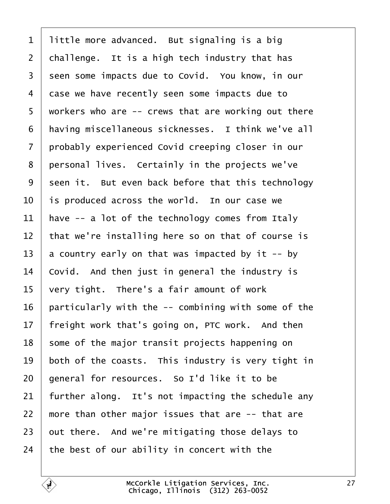<span id="page-26-0"></span>

| $\mathbf 1$    | little more advanced. But signaling is a big        |
|----------------|-----------------------------------------------------|
| $\overline{2}$ | challenge. It is a high tech industry that has      |
| 3              | seen some impacts due to Covid. You know, in our    |
| 4              | dase we have recently seen some impacts due to      |
| 5              | workers who are -- crews that are working out there |
| 6              | having miscellaneous sicknesses. I think we've all  |
| 7              | probably experienced Covid creeping closer in our   |
| 8              | personal lives. Certainly in the projects we've     |
| 9              | seen it. But even back before that this technology  |
| 10             | is produced across the world. In our case we        |
| 11             | have -- a lot of the technology comes from Italy    |
| 12             | that we're installing here so on that of course is  |
| 13             | a country early on that was impacted by it -- by    |
| 14             | Covid. And then just in general the industry is     |
| 15             | very tight. There's a fair amount of work           |
| 16             | particularly with the -- combining with some of the |
| 17             | freight work that's going on, PTC work. And then    |
| 18             | some of the major transit projects happening on     |
| 19             | both of the coasts. This industry is very tight in  |
| 20             | general for resources. So I'd like it to be         |
| 21             | further along. It's not impacting the schedule any  |
| 22             | more than other major issues that are -- that are   |
| 23             | but there. And we're mitigating those delays to     |
| 24             | the best of our ability in concert with the         |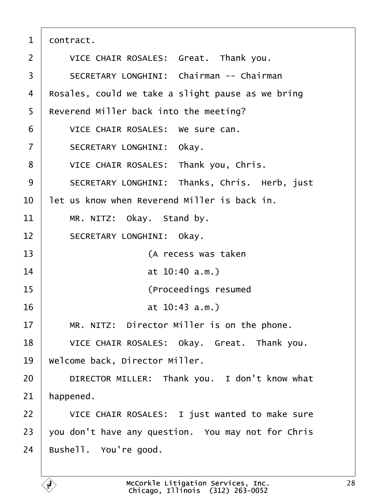<span id="page-27-0"></span>

| 1              | dontract.                                          |
|----------------|----------------------------------------------------|
| 2              | VICE CHAIR ROSALES: Great. Thank you.              |
| 3              | <b>SECRETARY LONGHINI: Chairman -- Chairman</b>    |
| 4              | Rosales, could we take a slight pause as we bring  |
| 5              | Reverend Miller back into the meeting?             |
| 6              | VICE CHAIR ROSALES: We sure can.                   |
| $\overline{7}$ | SECRETARY LONGHINI: Okay.                          |
| 8              | VICE CHAIR ROSALES: Thank you, Chris.              |
| 9              | SECRETARY LONGHINI: Thanks, Chris. Herb, just      |
| 10             | let us know when Reverend Miller is back in.       |
| 11             | MR. NITZ: Okay. Stand by.                          |
| 12             | <b>SECRETARY LONGHINI: Okay.</b>                   |
| 13             | (A recess was taken                                |
| 14             | at 10:40 a.m.)                                     |
| 15             | (Proceedings resumed                               |
| 16             | at 10:43 a.m.)                                     |
| 17             | MR. NITZ: Director Miller is on the phone.         |
| 18             | VICE CHAIR ROSALES: Okay. Great. Thank you.        |
| 19             | Welcome back, Director Miller.                     |
| 20             | DIRECTOR MILLER: Thank you. I don't know what      |
| 21             | happened.                                          |
| 22             | VICE CHAIR ROSALES: I just wanted to make sure     |
| 23             | you don't have any question. You may not for Chris |
| 24             | Bushell. You're good.                              |
|                |                                                    |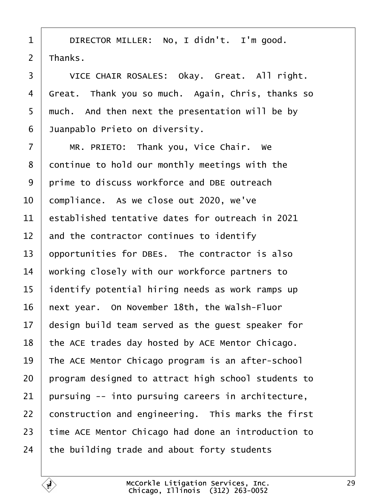- <span id="page-28-0"></span> $1$  | DIRECTOR MILLER: No, I didn't. I'm good.
- 2 Thanks.

3 | VICE CHAIR ROSALES: Okay. Great. All right. 4 Great. Thank you so much. Again, Chris, thanks so 5 much. And then next the presentation will be by 6 Juanpablo Prieto on diversity.  $7$  | MR. PRIETO: Thank you, Vice Chair. We 8 dontinue to hold our monthly meetings with the 9 prime to discuss workforce and DBE outreach 10 compliance. As we close out 2020, we've 11 established tentative dates for outreach in 2021 12 and the contractor continues to identify 13 opportunities for DBEs. The contractor is also 14 working closely with our workforce partners to 15 identify potential hiring needs as work ramps up 16 hext year. On November 18th, the Walsh-Fluor 17 design build team served as the guest speaker for 18 the ACE trades day hosted by ACE Mentor Chicago. 19 The ACE Mentor Chicago program is an after-school 20 program designed to attract high school students to 21 pursuing -- into pursuing careers in architecture, 22 construction and engineering. This marks the first 23 time ACE Mentor Chicago had done an introduction to 24 the building trade and about forty students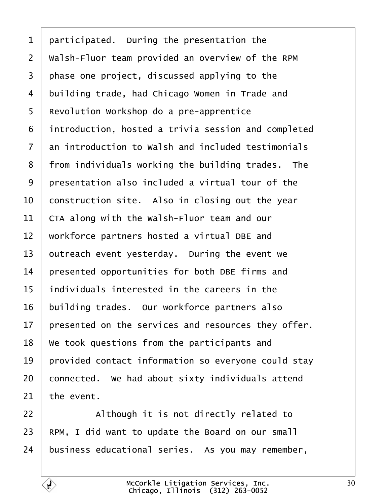<span id="page-29-0"></span>

|  |  | 1 participated. During the presentation the |  |
|--|--|---------------------------------------------|--|
|--|--|---------------------------------------------|--|

2 Walsh-Fluor team provided an overview of the RPM

- 3 phase one project, discussed applying to the
- 4 building trade, had Chicago Women in Trade and
- 5 Revolution Workshop do a pre-apprentice
- 6 introduction, hosted a trivia session and completed
- 7 an introduction to Walsh and included testimonials
- 8 from individuals working the building trades. The
- 9 presentation also included a virtual tour of the
- 10 construction site. Also in closing out the year
- 11 CTA along with the Walsh-Fluor team and our
- 12 workforce partners hosted a virtual DBE and
- 13 butreach event yesterday. During the event we
- 14 **bresented opportunities for both DBE firms and**
- 15 individuals interested in the careers in the
- 16 building trades. Our workforce partners also
- 17 presented on the services and resources they offer.
- 18 We took questions from the participants and
- 19 **provided contact information so everyone could stay**
- 20 connected. We had about sixty individuals attend
- 21 the event.
- $22$  | Although it is not directly related to
- 23 RPM, I did want to update the Board on our small
- 24 business educational series. As you may remember,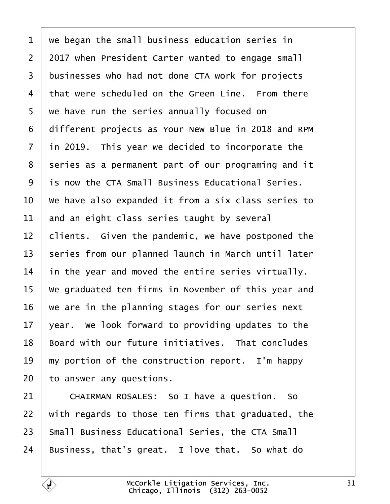<span id="page-30-0"></span>

| 1              | we began the small business education series in         |
|----------------|---------------------------------------------------------|
| $\overline{2}$ | 2017 when President Carter wanted to engage small       |
| 3              | businesses who had not done CTA work for projects       |
| 4              | that were scheduled on the Green Line. From there       |
| 5              | we have run the series annually focused on              |
| 6              | different projects as Your New Blue in 2018 and RPM     |
| $\overline{7}$ | in 2019. This year we decided to incorporate the        |
| 8              | series as a permanent part of our programing and it     |
| 9              | is now the CTA Small Business Educational Series.       |
| 10             | We have also expanded it from a six class series to     |
| 11             | and an eight class series taught by several             |
| 12             | clients. Given the pandemic, we have postponed the      |
| 13             | series from our planned launch in March until later     |
| 14             | in the year and moved the entire series virtually.      |
| 15             | We graduated ten firms in November of this year and     |
| 16             | we are in the planning stages for our series next       |
| 17             | year. We look forward to providing updates to the       |
| 18             | Board with our future initiatives. That concludes       |
| 19             | my portion of the construction report. I'm happy        |
| 20             | to answer any questions.                                |
| 21             | CHAIRMAN ROSALES: So I have a question. So              |
| 22             | with regards to those ten firms that graduated, the     |
| 23             | <b>Small Business Educational Series, the CTA Small</b> |
| 24             | Business, that's great. I love that. So what do         |
|                |                                                         |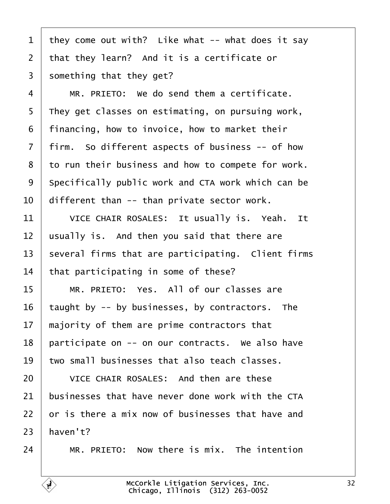- <span id="page-31-0"></span>1 they come out with? Like what -- what does it say
- 2 that they learn? And it is a certificate or
- 3 something that they get?
- $4 \mid MR$ . PRIETO: We do send them a certificate.
- 5 They get classes on estimating, on pursuing work,
- ·6· ·financing, how to invoice, how to market their
- 7 firm. So different aspects of business -- of how
- 8 to run their business and how to compete for work.
- 9 Specifically public work and CTA work which can be
- 10 different than -- than private sector work.
- 11 | VICE CHAIR ROSALES: It usually is. Yeah. It
- 12 usually is. And then you said that there are
- 13 several firms that are participating. Client firms
- 14 that participating in some of these?
- 15 | MR. PRIETO: Yes. All of our classes are
- 16 taught by -- by businesses, by contractors. The
- 17 majority of them are prime contractors that
- 18 participate on -- on our contracts. We also have
- 19 two small businesses that also teach classes.
- 20 VICE CHAIR ROSALES: And then are these
- 21 businesses that have never done work with the CTA
- 22 br is there a mix now of businesses that have and
- $23$  haven't?
- $24$  | MR, PRIETO: Now there is mix. The intention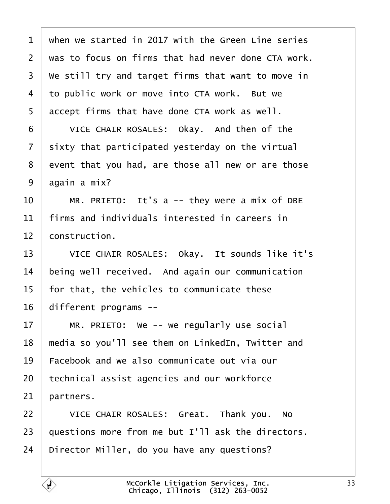<span id="page-32-0"></span>

| 1               | when we started in 2017 with the Green Line series  |
|-----------------|-----------------------------------------------------|
| $\overline{2}$  | was to focus on firms that had never done CTA work. |
| 3               | We still try and target firms that want to move in  |
| 4               | to public work or move into CTA work. But we        |
| 5               | accept firms that have done CTA work as well.       |
| 6               | VICE CHAIR ROSALES: Okay. And then of the           |
| 7               | sixty that participated yesterday on the virtual    |
| 8               | event that you had, are those all new or are those  |
| 9               | again a mix?                                        |
| 10              | MR. PRIETO: It's a -- they were a mix of DBE        |
| 11              | firms and individuals interested in careers in      |
| 12 <sup>2</sup> | construction.                                       |
| 13              | VICE CHAIR ROSALES: Okay. It sounds like it's       |
| 14              | being well received. And again our communication    |
| 15              | for that, the vehicles to communicate these         |
| 16              | different programs --                               |
| 17              | MR. PRIETO: We -- we regularly use social           |
| 18              | media so you'll see them on LinkedIn, Twitter and   |
| 19              | Facebook and we also communicate out via our        |
| 20              | technical assist agencies and our workforce         |
| 21              | partners.                                           |
| 22              | VICE CHAIR ROSALES: Great. Thank you. No            |
| 23              | questions more from me but I'll ask the directors.  |
| 24              | Director Miller, do you have any questions?         |
|                 |                                                     |

 $\lceil$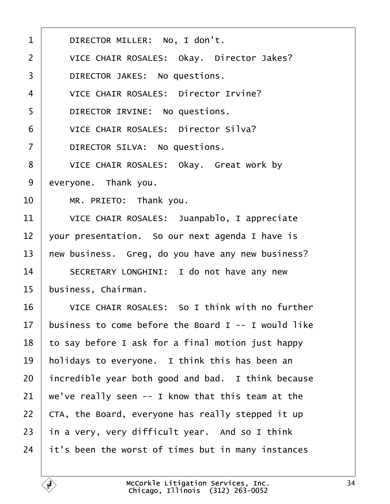<span id="page-33-0"></span>

| $\mathbf{1}$   | DIRECTOR MILLER: No, I don't.                       |
|----------------|-----------------------------------------------------|
| 2              | VICE CHAIR ROSALES: Okay. Director Jakes?           |
| 3              | DIRECTOR JAKES: No questions.                       |
| 4              | <b>VICE CHAIR ROSALES: Director Irvine?</b>         |
| 5              | DIRECTOR IRVINE: No questions.                      |
| 6              | <b>VICE CHAIR ROSALES: Director Silva?</b>          |
| $\overline{7}$ | DIRECTOR SILVA: No questions.                       |
| 8              | VICE CHAIR ROSALES: Okay. Great work by             |
| 9              | everyone. Thank you.                                |
| 10             | MR. PRIETO: Thank you.                              |
| 11             | VICE CHAIR ROSALES: Juanpablo, I appreciate         |
| 12             | your presentation. So our next agenda I have is     |
| 13             | hew business. Greg, do you have any new business?   |
| 14             | SECRETARY LONGHINI: I do not have any new           |
| 15             | business, Chairman.                                 |
| 16             | VICE CHAIR ROSALES: So I think with no further      |
| 17             | business to come before the Board I -- I would like |
| 18             | to say before I ask for a final motion just happy   |
| 19             | holidays to everyone. I think this has been an      |
| 20             | incredible year both good and bad. I think because  |
| 21             | we've really seen -- I know that this team at the   |
| 22             | CTA, the Board, everyone has really stepped it up   |
| 23             | in a very, very difficult year. And so I think      |
| 24             | it's been the worst of times but in many instances  |
|                |                                                     |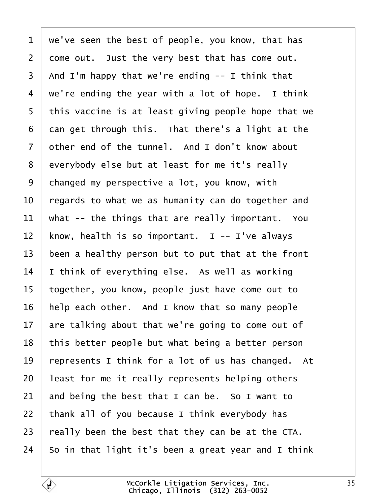<span id="page-34-0"></span>1 we've seen the best of people, you know, that has 2 dome out. Just the very best that has come out. 3 And I'm happy that we're ending -- I think that 4 we're ending the year with a lot of hope. I think 5 this vaccine is at least giving people hope that we 6 dan get through this. That there's a light at the 7 dther end of the tunnel. And I don't know about 8 everybody else but at least for me it's really 9 changed my perspective a lot, you know, with 10 regards to what we as humanity can do together and 11 what -- the things that are really important. You 12 know, health is so important. I -- I've always 13 been a healthy person but to put that at the front 14  $\parallel$  think of everything else. As well as working 15 together, you know, people just have come out to 16 help each other. And I know that so many people 17 are talking about that we're going to come out of 18 this better people but what being a better person 19 represents I think for a lot of us has changed. At 20 least for me it really represents helping others 21  $\mu$  and being the best that I can be. So I want to 22 thank all of you because I think everybody has 23 really been the best that they can be at the CTA. 24 So in that light it's been a great year and I think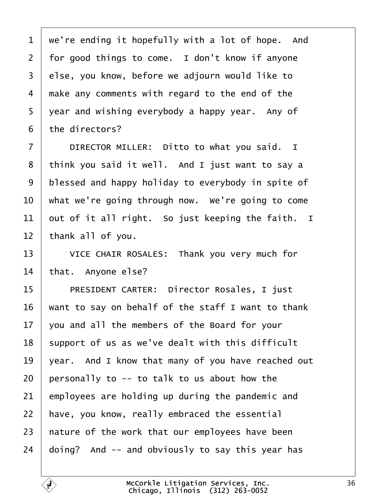<span id="page-35-0"></span>

| 1               | we're ending it hopefully with a lot of hope. And  |
|-----------------|----------------------------------------------------|
| $\overline{2}$  | for good things to come. I don't know if anyone    |
| 3               | else, you know, before we adjourn would like to    |
|                 |                                                    |
| 4               | make any comments with regard to the end of the    |
| 5               | year and wishing everybody a happy year. Any of    |
| 6               | the directors?                                     |
| $\overline{7}$  | DIRECTOR MILLER: Ditto to what you said. I         |
| 8               | think you said it well. And I just want to say a   |
| $9\,$           | blessed and happy holiday to everybody in spite of |
| 10              | what we're going through now. We're going to come  |
| 11              | out of it all right. So just keeping the faith. I  |
| 12              | thank all of you.                                  |
| 13              | VICE CHAIR ROSALES: Thank you very much for        |
| 14              | that. Anyone else?                                 |
| 15              | PRESIDENT CARTER: Director Rosales, I just         |
| 16              | want to say on behalf of the staff I want to thank |
| 17 <sup>1</sup> | you and all the members of the Board for your      |
| 18              | support of us as we've dealt with this difficult   |
| 19              | year. And I know that many of you have reached out |
| 20              | personally to -- to talk to us about how the       |
| 21              | employees are holding up during the pandemic and   |
| 22              | have, you know, really embraced the essential      |
| 23              | hature of the work that our employees have been    |
| 24              | doing? And -- and obviously to say this year has   |
|                 |                                                    |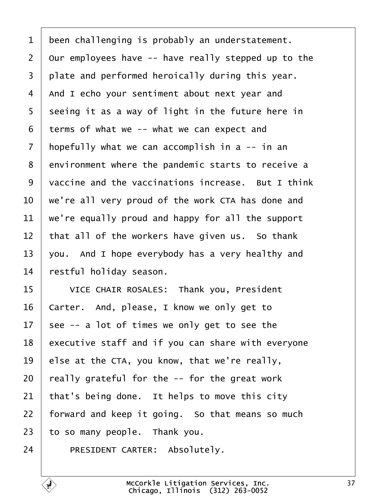<span id="page-36-0"></span>

| 1              | been challenging is probably an understatement.     |
|----------------|-----------------------------------------------------|
| $\overline{2}$ | Our employees have -- have really stepped up to the |
| 3              | plate and performed heroically during this year.    |
| $\overline{4}$ | And I echo your sentiment about next year and       |
| 5              | seeing it as a way of light in the future here in   |
| 6              | terms of what we -- what we can expect and          |
| 7              | hopefully what we can accomplish in a -- in an      |
| 8              | environment where the pandemic starts to receive a  |
| 9              | vaccine and the vaccinations increase. But I think  |
| 10             | we're all very proud of the work CTA has done and   |
| 11             | we're equally proud and happy for all the support   |
| 12             | that all of the workers have given us. So thank     |
| 13             | you. And I hope everybody has a very healthy and    |
| 14             | restful holiday season.                             |
| 15             | VICE CHAIR ROSALES: Thank you, President            |
| 16             | Carter. And, please, I know we only get to          |
| 17             | see -- a lot of times we only get to see the        |
| 18             | executive staff and if you can share with everyone  |
| 19             | else at the CTA, you know, that we're really,       |
| 20             | really grateful for the -- for the great work       |
| 21             | that's being done. It helps to move this city       |
| 22             | forward and keep it going. So that means so much    |
| 23             | to so many people. Thank you.                       |
| 24             | PRESIDENT CARTER: Absolutely.                       |
|                |                                                     |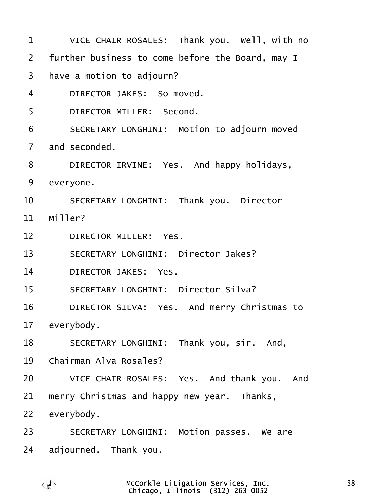<span id="page-37-0"></span>

| 1              | VICE CHAIR ROSALES: Thank you. Well, with no     |
|----------------|--------------------------------------------------|
| $\overline{2}$ | further business to come before the Board, may I |
| 3              | have a motion to adjourn?                        |
| 4              | DIRECTOR JAKES: So moved.                        |
| 5              | <b>DIRECTOR MILLER: Second.</b>                  |
| 6              | SECRETARY LONGHINI: Motion to adjourn moved      |
| $\overline{7}$ | and seconded.                                    |
| 8              | DIRECTOR IRVINE: Yes. And happy holidays,        |
| 9              | everyone.                                        |
| 10             | SECRETARY LONGHINI: Thank you. Director          |
| 11             | Miller?                                          |
| 12             | <b>DIRECTOR MILLER: Yes.</b>                     |
| 13             | <b>SECRETARY LONGHINI: Director Jakes?</b>       |
| 14             | <b>DIRECTOR JAKES: Yes.</b>                      |
| 15             | <b>SECRETARY LONGHINI: Director Silva?</b>       |
| 16             | DIRECTOR SILVA: Yes. And merry Christmas to      |
| 17             | everybody.                                       |
| 18             | SECRETARY LONGHINI: Thank you, sir. And,         |
| 19             | Chairman Alva Rosales?                           |
| 20             | VICE CHAIR ROSALES: Yes. And thank you. And      |
| 21             | merry Christmas and happy new year. Thanks,      |
| 22             | everybody.                                       |
| 23             | SECRETARY LONGHINI: Motion passes. We are        |
| 24             | adjourned. Thank you.                            |
|                |                                                  |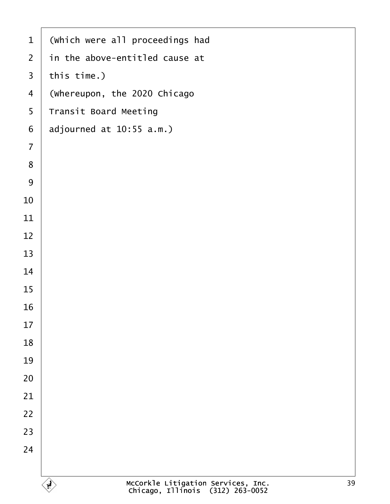| $\mathbf 1$      | (Which were all proceedings had |
|------------------|---------------------------------|
| $\overline{2}$   | in the above-entitled cause at  |
| $\mathfrak{S}$   | this time.)                     |
| $\overline{4}$   | (Whereupon, the 2020 Chicago    |
| 5                | Transit Board Meeting           |
| $\,6\,$          | adjourned at 10:55 a.m.)        |
| $\overline{7}$   |                                 |
| $\bf 8$          |                                 |
| $\boldsymbol{9}$ |                                 |
| $10$             |                                 |
| 11               |                                 |
| 12               |                                 |
| 13               |                                 |
| 14               |                                 |
| 15               |                                 |
| 16               |                                 |
| 17               |                                 |
| 18               |                                 |
| 19               |                                 |
| 20               |                                 |
| 21               |                                 |
| 22               |                                 |
| 23               |                                 |
| 24               |                                 |
|                  |                                 |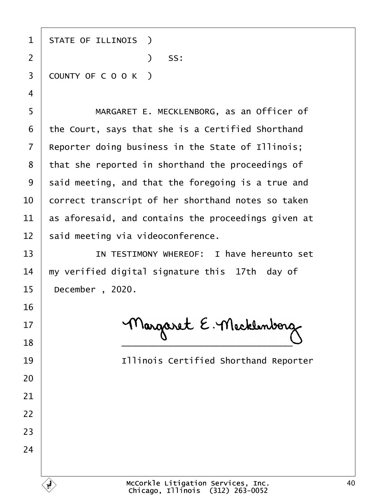| 1  | <b>STATE OF ILLINOIS</b> )                          |
|----|-----------------------------------------------------|
| 2  | $)$ SS:                                             |
| 3  | COUNTY OF COOK)                                     |
| 4  |                                                     |
| 5  | MARGARET E. MECKLENBORG, as an Officer of           |
| 6  | the Court, says that she is a Certified Shorthand   |
| 7  | Reporter doing business in the State of Illinois;   |
| 8  | that she reported in shorthand the proceedings of   |
| 9  | said meeting, and that the foregoing is a true and  |
| 10 | correct transcript of her shorthand notes so taken  |
| 11 | as aforesaid, and contains the proceedings given at |
| 12 | said meeting via videoconference.                   |
| 13 | IN TESTIMONY WHEREOF: I have hereunto set           |
| 14 | my verified digital signature this 17th day of      |
| 15 | December, 2020.                                     |
| 16 |                                                     |
| 17 |                                                     |
| 18 |                                                     |
| 19 | <b>Illinois Certified Shorthand Reporter</b>        |
| 20 |                                                     |
| 21 |                                                     |
| 22 |                                                     |
| 23 |                                                     |
| 24 |                                                     |
|    |                                                     |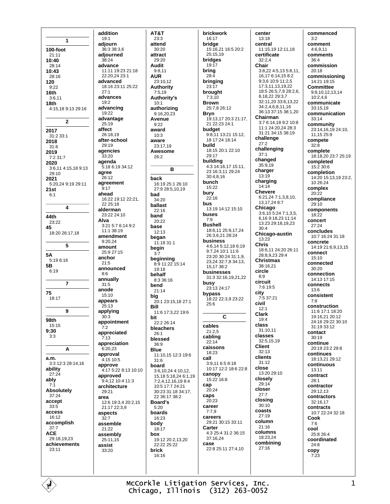1  $100-f$ oot  $21:11$ 10:40  $28.14$ 10:43  $28.16$ 120  $9:22$  $16<sub>th</sub>$  $3.611$ 18th 4:15,18 9:13 29:16  $\overline{\phantom{a}}$ 2017 31:2 33:1 2018  $31.6$ 2019 7:2 31:7 2020 3:6,11 4:15,18 9:13 29:10 2021 5.20.24.9.19.29.11  $21st$  $6:1$  $\overline{\mathbf{A}}$ 44th 23:22 45 18:20 26:17 18 5 **5A** 5:19 6:16  $5B$  $6:19$  $\overline{7}$ 75  $18.17$  $\overline{9}$ 98th  $15:15$  $9:30$  $3:3$ A  $a.m.$  $3:3$  12 $:3$  28 $:14$  16 ability  $27:24$ ably  $7.1$ Absolutely 37:24 accept  $33:5$ access  $16:12$ accomplish  $37:7$ **ACE** 29:18,19,23 achievements  $23.11$ 

addition  $19:1$ adiourn  $36:3.38:3.6$ adjourned  $38.24$ advance 11:11 19:23 21:18  $22.202423.1$ advanced  $18.1623.1125.22$  $27.1$ advances  $19:2$ advancing 19:22 advantage 25:19 affect 26:18.19 after-school  $29.19$ agencies  $33:20$ agenda 5:18 6:19 34:12 agree 26:12 agreement  $9.17$ ahead 16:22 19:12 22:21.  $22.25 \cdot 18$ alderman 23:22 24:10 Alva 3:21 5:7 6:14 9:2  $11.138.19$ amendment  $9.20.24$ amount 25:9 27:15 anchor  $21.5$ announced  $8:6$ annually  $31:5$ anode 15:10 appears  $25:13$ applying  $30.3$ appointment  $7:2$ appreciated  $7:13$ appreciation  $6.20.23$ approval 4:15 10:5 approve 4:17 5:22 8:13 10:10 approved 9:4,12 10:4 11:3 architecture  $29.21$ area 12:6 19:3,4 20:2,15 21:17 22:3.9 aspects  $32:7$ assemble  $21:22$ assembly 25:11,15 assist  $33.20$ 

AT&T  $23:3$ attend  $30.20$ attract  $29.20$ **Audit**  $9:8,11$ **AUR**  $23:1012$ **Authority**  $7:5,19$ Authority's  $10:1$ authorizing 9:16,20,23 Avenue  $9:22$ award  $10:3$ aware 23:17,19 Awesome  $26:2$ B back 16:19 25:1 26:10 27:9 28:5 10 19 bad 34:20 ballast  $22.16$ hand  $20.22$ base  $12:13$ began 11:18 31:1 begin  $3:7$ beginning 8:9 11:22 15:14 19:18 hehalf  $8:3.36:16$ bend  $21:14$ big 20:1 23:15,18 27:1 Bill 11:6 17:3,22 19:6 bit 22:2 26:14 bleachers  $26:1$ blessed 36:9 **Blue** 11:10,15 12:3 19:6  $31.6$ board 3:6,10,24 4:10,12, 15,18 5:18,24 6:1,19 7:2,4,12,16,19 8:4 10:5 17:7 24:21 30:23 31:18 34:17, 22 36:17 38:2 Board's  $5.20$ boards 16:23 body  $18:17$ box 19:12 20:2 13 20  $22.22225.22$ brick 16:16

brickwork 16:17 bridge 15:16,21 16:5 20:2 25:15.19 bridges  $19:17$ bring  $28-4$ bringing  $23.17$ brought  $7:3.\overline{10}$ **Brown** 25.7 8 26.12 **Bryn** 19:13,17 20:3 21:17. 21 22:23 24:1 budget 9:8,11 13:21 15:12, 18 17:24 18:14 build 18:15 20:1 22:10 29:17 building 4:3 14:16,17 15:11, 23 16:3,11 29:24  $30:4,8,16$ bunch  $15:22$ burv  $22:16$ hus 13:19 14:12 15:10 buses  $7:9$ **Bushell** 18:6,11 25:9,17,24 26:3,6,21 28:24 **business** 4:6.14 5:12.18 6:19  $9.72410.1116$ 23:20 30:24 31:1.9 23,24 32:7,8 34:13, 15 17 38 - 2 businesses 31:3 32:16,19,21,22 busy  $23:1324:17$ bypass 18:22 22:3,9 23:22  $25:6$  $\mathbf{C}$ cables  $21:2.5$ cabling  $22.14$ caissons 18:23 call  $3:9.116:58:18$ 10:17 12:2 18:6 22:8 canopy 15:22 16:8 cap  $20:24$ caps  $20:23$ career  $7:7,9$ careers 29:21 30:15 33:11 Carter 4:3 25:4 31:2 36:15 37:16,24 case 22:8 25:11 27:4,10

center  $13:18$ central 11:15,19 12:11.18 certificate  $32.2A$ Chair 3:8,22 4:5,13 5:8,11, 16,17 6:14,15 8:2 9:3,6 10:9 11:2,5 17:3 11 13 19 22 18:5 26:5.7.9 28:2.6. 8.18.22 29:3.7  $32.11$  20  $33.6$  13 22 34:2.4.6.8.11.16 36:13 37:15 38:1.20 Chairman 3:7 6:14,18 9:2 10:8 11:1 24:20,24 28:3 31:21 34:15 38:19 challenge  $27.2$ challenging  $37:1$ changed 35:9,19 charger  $13:19$ charging  $14:14$ **Chevere** 6:21,24 7:1,3,8,10,<br>13.17.24 8:7 Chicago  $3:6,10$  5:24 7:1,3,5, 6,169:18,23 11:14 13:23 29:18,19,23  $30:4$ Chicago-austin  $13:23$ **Chris** 18:6,11 24:20 26:11 28:8,9,23 29:4 **Christmas** 38:16.21 circle  $R \cdot Q$ circuit 7:6 19:5 city  $7.5.37.21$ civil  $12:1$ **Clark** 19:4 class  $31:1011$ classes 32:5,15,19 Client  $32:13$ clients  $31:12$ close 13:20 29:10 closelv  $29.14$ closer  $27:7$ closing  $30:10$ coasts  $27.19$ column 21:16 columns  $18:23.24$ combining  $27:16$ 

commenced  $3:2$ comment  $4.6911$ comments  $36.4$ commission 20:18 commissioning 14.21.19.15 Committee 9:8,10,12,13,14  $10:2,4,6$ communicate  $33:15.19$ communication  $33.14$ community 23:14, 16, 19 24:10, 11,15 25:9 compete  $32.8$ complete 18:18,20 23:7 25:19 completed  $15.2306$ completion 14:20 15:13,19 23:2,  $10.26.24$ complex  $20:22$ compliance  $29.10$ components 18:22 concert  $27:24$ concludes 10:7 16:24 31:18 concrete 14:19 21:6.9.13.15 connect  $15:10$ connected  $30.20$ connection 14:13 17:15 connects  $13.6$ consistent  $7:8$ construction 11:6 17:1 18:20 19:16 21 20:12 24:16 29:22 30:10  $31.1933.12$ contact  $30:19$ continue 20:19 23:2 29:8 continues 18:13,21 29:12 continuous  $13.11$ contract  $28.1$ contractor 29:12,13 contractors 32:16.17 contracts 10:7 22:24 32:18 Cook  $7:6$ cool  $25.826.4$ coordinated  $24:8$ copy  $7:23$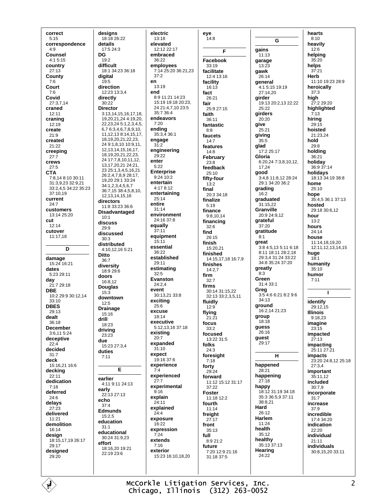correct  $5:15$ correspondence  $4.9$ Counsel  $4.15.15$ country 27:13 County  $7.6$ Court  $7:6$ Covid 27:3,7,14 craned 12:11 craning 12:19 create  $21:9$ created  $21:22$ creeping  $27:7$ crews  $27.5$ **CTA** 7:8,14 8:10 30:11 31:3,9,23 32:9,21 33:2,4,5 34:22 35:23 37:10,19 current  $24.7$ customers 13:14 25:20 cut  $12:14$ cutover 11:17,18 D damage 15:24 16:21 dates 5:23 29:11 day 21:7 29:18 **DBE** 10:2 29:9 30:12.14  $33.10$ **DBES** 29:13 dealt 36:18 **December** 3:6.11 5:24 deceptive  $22.4$ decided  $31:7$ deck 15:16 21 16:6 decking  $22:11$ dedication  $7:18$ deferred  $24.6$ delays  $27:23$ delivered  $11.21$ demolition 16:14 design 18:15,17,19 26:17 29:17 designed  $29:20$ 

designs 18:18 26:22 details  $17:5.24:3$ DG  $19.2$ difficult 18:1 34:23 36:18 digital  $19.5$ direction 12:23 13:3,4 directly 30:22 **Director** 3:13,14,15,16,17,18, 19,20,21,24 4:19,20, 22, 23, 24 5: 1, 2, 3, 4, 5, 6,7 6:3,4,6,7,8,9,10, 11, 12, 13 8: 14, 15, 17, 18, 19, 20, 21, 22, 23, 24 9:1,8,10 10:9,11, 12, 13, 14, 15, 16, 17, 18, 19, 20, 21, 22, 23, 24 17:7,8,10,11,12, 13, 17, 20, 21 24: 21, 23 25 1 3 4 5 16 21 26:2.4.7.8.9 28:17. 19.20 29:1 33:24  $34.1234567$ 36:7.15 38:4.5.8.10. 12, 13, 14, 15, 16 directors 11:8 33:23 36:6 **Disadvantaged**  $10.1$ discuss  $29.9$ discussed  $30:3$ distributed 4:10 12 16 5:21 **Ditto**  $36:7$ diversity 18:9 29:6 doors 16:8,12 **Douglas**  $15:3$ downtown  $12:5$ **Drainage** 15:16 drill 18:23 driving  $23.23$ due 15:23 27:3,4 duties  $7.11$ E earlier 4:11 9:11 24:13 early 22:13 27:13 echo  $37.4$ Edmunds 15:2,5 education  $31:1$ educational 30:24 31:9,23 effort 18:16,20 19:21  $22.19236$ 

electric  $13:18$ elevated 12:12 22:17 embraced  $36.22$ employees 7:14 25:20 36:21,23  $37:2$ en  $13.19$ end 8.9.11.21.14.23 15:19 19:18 20:23, 24 21:4,7,10 23:5 35:7 36:4 endeavors  $7.20$ ending 35:3,4 36:1 engage  $31:2$ engineering  $29:22$ enter  $5:22$ **Enterprise**  $9:24 \overline{10:2}$ entertain 4:17 8:12 entertaining  $25:14$ entire  $31.14$ environment 24:16 37:8 equally  $37.11$ equipment  $15.11$ essential  $36.22$ established  $29.11$ estimating  $32:5$ Evanston  $24:2.4$ **Avent**  $30.13213338$ exciting  $25:6$ excuse  $18.14$ executive 5:12,13,16 37:18 existing  $20:7$ expanded  $31.10$ expect  $19.16376$ experience  $7.4$ experienced  $27:7$ experimental  $9:16$ explain 24:11 explained  $24:4$ exposure  $16:22$ expression  $7.24$ extends  $7:16$ exterior 15:23 16:10,18,20

eye  $14:8$ F Facebook  $33.19$ facilitate  $12.413.16$ facility  $16:13$ fact  $26.21$ fair ---<br>25:0 27:15 faith 36:11 fantastic  $R \cdot R$ faucets  $14:7$ features  $14:8$ February  $23:8$ feedback  $25:10$ fifty-four  $13.2$ final  $20:3.34:18$ finalize  $5:19$ finance  $9.81014$ financing  $32:6$ find  $26.15$ finish 15:20,21 finished 14:15,17,18 16:7,9 finishes  $14:2,7$ firm  $32:7$ firms 30:14 31:15.22  $32.1333.23511$ fluidly  $12:9$ flying  $21:21$ focus  $33.2$ focused 13:22 31:5 folks  $24:3$ foresight  $7:18$ forty 29:24 forward 11:12 15:12 31:17  $37.22$ Foster 11:18 12:2 fourth  $11.14$ freight  $27 - 17$ front 35:13 full  $8:921:2$ future 7:20 12:9 21:16 31:18 37:5

G gains  $11:13$ garage  $13:23$ gawk  $26.14$ general 4:1 5:15 19:19 27:14.20 airder 19:13 20:2,13 22:22  $25.22$ girders 20:20 give 25:21 giving  $35.5$ glad 17:2 25:17 Gloria 6:20 24 7:3 8 10 12 17.24 good 3:4,8 11:8,12 28:24 29:1 34:20 36:2 grading  $16:2$ graduated 31:15,22 Granville 20:9 24:9.12 grateful  $37.20$ gratitude  $8.1$ great 3:8 4:5,13 5:11 6:18 8:11 18:11 28:2,18 29:3.4 31:24 33:22 34.8 35.24 37.20 greatly  $8:3$ Green 31:4 33:1 Greg<br>3:5 4:6 6:21 8:2 9:6  $34.13$ ground 16:2,14 21:23 group 18:18 guess 26:16 quest 29:17  $\mathbf{H}$ happened  $28.21$ happening  $27:18$ happy 18:12 31:19 34:18 35:3 36:5,9 37:11 38:8.21 Hard  $26.12$ Harlem 11:24 health  $35.12$ healthy 35:13 37:13 Hearing 24:22

hearts  $8:10$ heavily  $12.6$ helping  $35.20$ helps  $37:21$ **Herb** 11:10 19:23 28:9 heroically  $37:3$ high 27:2 29:20 highlighted 13:' hiring  $29:15$ hoisted 21:23.24 hold  $29.8$ holding 36:21 holiday 36:9 37:14 holidays 18:13 34:19 38:8 home  $25:10$ hope  $35:4.536:137:13$ hosted 29:18 30:6,12 hour  $13.2$ hours 24:14 house 11:14,18,19,20 12:11.12.13.14.15 huge  $18:1$ humanity  $35:10$ humor  $7:11$  $\mathbf{I}$ identify 29:12,15 **Illinois** 9:18,23 imagine  $23:15$ impacted  $27:13$ *impacting* 25:11 27:21 *impacts* 23:20 24:8,12 25:18  $27:3.4$ important 35:11,12 included  $30.79$ incorporate  $31:7$ increase  $37.9$ incredible  $17.434.20$ indication  $22.20$ individual  $21.11$ individuals 30:8,15,20 33:11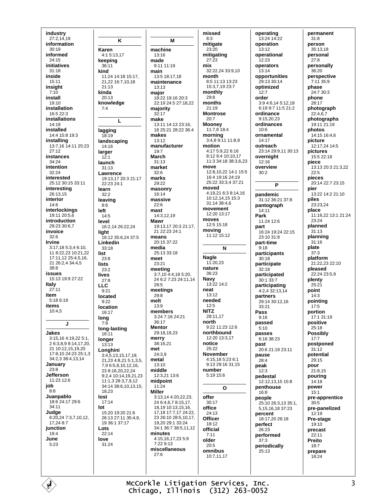industry 27:2,14,19 information  $30.19$ informed  $24.15$ initiatives 31:18 inside  $15:11$ insight  $7:10$ install 19:10 installation 16:5 22:3 installations 14:19 installed 14:4 15:8 19:3 installing 13:7,16 14:11 25:23  $27:12$ instances  $34:24$ intention  $32.24$ interested 25:12 30:15 33:11 interesting 26:13.15 interior  $14:6$ interlockings 19:11 20:5,6 introduction 29:23.30:6.7 invoice  $32:6$ **Irvine** 3:17.18 5:3.4 6:10. 11 8:22 23 10:21 22 17:11,12 25:4,5,16, 21 26:2.4 34:4 5  $38.8$ issues 15:13 19:9 27:22 Italy  $27.11$ item 5:18 6:19 items  $10:4,5$  $\mathbf{J}$ Jakes 3:15.16 4:19.22 5:1. 26:3898:141720 21 10:12 15 19 20 17:8,10 24:23 25:1,3 34:2.3 38:4.13.14 January  $23.8$ **Jefferson**  $11.23126$ job  $8:8$ Juanpablo 18:6 24:17 29:6 34:11 Judge 6:20,24 7:3,7,10,12,  $17.24$   $8.7$ junction  $19:4$ June  $5.23$ 

K Karen 4:1 5:13,17 keeping  $36.11$ kind 11:24 14:18 15:17 21,22 16:7,10,18  $21.12$ kinda 20:13 knowledge  $7.4$ L lagging 18:19 landscaping 14:16 larger  $12:1$ launch  $31:13$ Lawrence 19:13,17 20:3 21:17 22:23 24:1 learn  $32.2$ leaving  $8:6$ left  $14.5$ level 16:2,14 26:22,24 light 16:12 35:6,24 37:5 Linkedin  $33.18$ list 23:8 **lists**  $23.2$ lives  $27:8$ **LLC**  $9:21$ located  $9:22$ location 16:17 lona  $7:9$ long-lasting  $16:11$ longer  $13:13$ Lonahini 3:4.5.13.15.17.19. 21,23 4:8,21 5:1,3,5, 796:5.8.10,12,16, 23 8:16,20,22,24 9:2,4 10:14,19,21,23 11:1,3 28:3,7,9,12 34:14 38:6,10,13,15, 18,23 lost  $17:14$ lot --<br>15.20 10.20 21.6 26:13 27:11 35:4,9, 19 36:1 37:17 Lots  $22.14$ love  $31.24$ 

M machine 13:16 made  $9.1111119$ main 13:5 18:17 18 maintenance  $13:13$ maior  $18.22$  19:16 20:3 22:19 24:5 27:18,22 majority  $32:17$ make 13:11 14:13 23:16, 18 25:21 28:22 36:4 makes  $13.12$ manufacturer  $19:7$ **March**  $31.13$ market  $32.6$ marks 29:22 masonry  $16.14$ massive  $22.6$ mast  $14:31219$ **Mawr** 19:13,17 20:3 21:17, 21 22:23 24:1 means 20:15 37:22 media  $25.13.33.18$ meet 23:21 meeting<br>3:7,10 4:4,18 5:20, 24 6:2 7:23 24:11,14  $28.5$ meetings  $29.8$  $13:9$ members  $3.24$  7.16  $24.21$  $36.17$ **Mentor** 29:18,19,23 merry  $38.1621$ 24:3,9 metal 13:10 middle 12:3,21 13:6 midpoint  $11:24$ **Miller** 3:13,14 4:20,22,23,  $246:46.78:15.17$ 18 19 10 13 15 16 17.18 17:7.17 24:22 23 26:10 28:5,10,17, 19 20 29 1 33 24 34:1 36:7 38:5.11.12 minutes 4:15,16,17,23 5:9  $7.22913$ miscellaneous  $27:6$ 

melt

met

missed  $8:3$ mitigate  $23.20$ mitigating  $27:23$ mix 32:22,24 33:9,10 month 8:5 11:13 13:23 15:37 19 23:7 monthly  $29:8$ months  $21.19$ **Montrose**  $20.7$ Mooney 11:7,8 18:4 morning  $3:4.89:1111:8.9$ motion 4:17 5:9,22 6:16 8:12 9:4 10:10,17 11:3 34:18 38:3,6,23 move 12:8 10 22 14:1 15:5 16:4 19:16 24:19 25:22 33:3.4 37:21 moved 4:19,21 6:3 8:14,16 10:12,14,15 15:3 31:14 38:4,6 movement  $12:20$  13:17 moves 12:5 15:18 moving 11:12 15:12 N **Nagle**  $11.2023$ nature 36:23 Navy 13:22 14:2 neat  $13.12$ needed  $12:5$ **NITZ** 28:11.17 north 9:22 11:23 12:6 northbound 12:20 13:3.17 notice  $25.22$ November 4:15,18 5:23 6:1 9:13 29:16 31:15 number 5:19 15:6  $\Omega$ offer  $30.17$ office 24:13 **Officer**  $18:12$ official  $7.11$ older  $20:5$ omnibus  $10.71117$ 

operating 13:24 14:22 operation  $13.12$ operational .<br>12.23 operators 13:14 opportunities  $29.13.30.14$ optimized  $12:7$ order 3:9 4:6,14 5:12,18  $6.1997115212$ ordinance  $9.15, 20, 23$ ordinances  $10.6$ ornamental  $14.17$ outreach 23:14 29:9,11 30:13 overnight  $12:16$ overview  $30:2$ P pandemic 31:12 36:21 37:8 pantograph  $14.11$ Park 11:24 12:6 part 16:24 19:24 22:15  $23.1031.8$ part-time  $9.18$ participants  $30:18$ participate  $32:18$ participated 30:1 33:7 participating  $4:2,4\overline{3}2:13,\overline{1}4$ nartners 29:14 30:12 16  $33.21$ Pass  $9.16$ passed  $5.10$ passes  $6.16.38.23$ past 20:6 21:19 23:11 pause  $28.4$ peak  $12:3$ pedestal 12:12,13,15 15:8 penthouse 16:8 people 25:10 26:3,13 35:1, 5, 15, 16, 18 37: 23 percent 18:17.20 26:18 perfect  $26.23$ performed  $37:3$ periodically 25:13

permanent  $31:8$ person  $35:13.18$ personal  $27.8$ personally 36:20 perspective  $7.11.35.9$ phase 24:7 30:3 phone 28:17 photograph  $22:4,6,7$ photographs 19:11 21:19 photos 14:15 16:4.6 picture 12:17,24 14:5 pictures 15:5 22:18 piece 13:13 20:3 21:3 22  $22.5$ pieces 20:14 22:7 23:15 pier 13:22 14:2 21:10 piles 23:23.24 place 11:16,22 13:1 21:24  $23.24$ planned  $31.13$ planning  $31:16$ plate  $37.3$ platform 21:22,23 22:10 pleased 22:24 23:5,9 plenty  $25.21$ point  $14:3$ pointing  $17:5$ portion 17:1 31:19 positive  $25.18$ **Possibly**  $17.7$ postponed  $31:12$ potential 29:15 pour 21:8.15 pouring 14:18 power  $15.1$ pre-apprentice  $30:5$ pre-panelized 12:19 Pre-stage  $19:10$ precast  $22:11$ Preito  $18:7$ prepare 18:24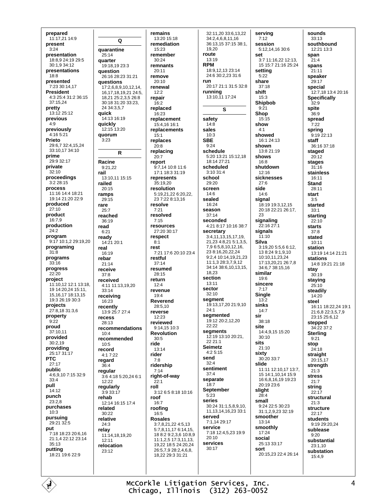prepared 11:17,21 14:9 present  $3.24$ presentation 18.8 9 24.19 29.5 30:1,9 34:12 presentations  $18.8$ presented  $7.2330.1417$ **President** 4:3 25:4 31:2 36:15 37:15,24 pretty  $13:1225:12$ previous  $4.9$ previously 4:16 5:21 Prieto 29.6 7 32.4 15 24 33:10.17 34:10 prime 29:9 32:17 private  $32.10$ proceedings  $3:228:15$ process 11:16 14:4 18:21 19:14 21:20 22:9 produced  $27.10$ product 16:7,9 production  $24.2$ program 9:17 10:1,2 29:19,20 programing  $31:8$ programs  $33.16$ progress  $22:20$ project 11:10,12 12:1 13:18, 19 14:20 24 15:11 15 16 17 18 13 15 19:3 26:19 30:3 projects 27:8,18 31:3,6 property  $9:22$ proud 37:10.11 provided  $30:2,19$ providina 25:17 31:17 **PTC**  $27:17$ public 4:6,9,10 7:15 32:9  $33:4$ pull  $14.12$ punch  $23.28$ purchases  $10.3$ pursuing 29:21 32:5 put 7:18 18:23 20:6,16 21:1.4 22:12 23:14  $35:13$ putting 18:21 19:6 22:9

Q quarantine  $25.14$ quarter 19:18,19 23:3 **auestion** 26:16.28:23.31:21 questions 17:2,6,8,9,10,12,14, 16, 17, 18, 19, 21 24: 5, 18,21 25:2,3,5 26:8 30:18 31:20 33:23, 24 34:3,5,7 quick  $14.1316.19$ quickly 12:15 13:20 **auorum**  $3.23$  $\mathsf{R}$ **Racine**  $9.21.22$ rail 13:10,11 15:15 railed  $20.15$ ramps 29:15 rare  $25.7$ reached 36:19 read  $6:21$ ready 14:21 20:1 real 16:19 rebar  $21:14$ receive  $37.8$ received 4:11 11:13.19.20 33:14 receivina 16:23 recently 13:9 25:7 27:4 recess 28:13 recommendations  $10-4$ recommended 10:5 record 4:17:22 regard  $36.4$ regular 3:6 4:18 5:20.24 6:1  $12.22$ regularly  $3.9.33.17$ rehab 12:14 16:15 17:4 related 30:22 relative  $24:3$ relav 11:14,18,19,20  $12.11$ relocation  $23.12$ 

remains 13:20 15:18 remediation  $15.23$ remember  $30.24$ remnants  $20:11$ remove  $20:10$ renewal  $12:2$ repair  $16:2$ replaced  $16:23$ replacement 15:4.16 16:1 replacements  $15:1$ replaces  $20:8$ replacing  $20:7$ report 9:7.14 10:8 11:6 17:1 18:3 31:19 represents 35:19.20 resolution 5:19,21,22 6:20,22, 23 7:22 8:13.16 resolve  $7:21$ resolved  $7:15$ resources  $27.2030.17$ respect  $8:1$ rest 7:21 17:6 20:10 23:4 restful  $37.14$ resumed 28:15 return  $12.4$ revenue  $19:4$ Reverend 28:5.10 reverse 12:23 reviewed  $9.1415103$ **Revolution**  $30.5$ ride 13:14 rider  $7:8$ ridership  $7.14$ right-of-way  $22:1$ roll  $3:126:58:1810:16$ roof  $16:7$ roofing 16:5 **Rosales** 3:7,8,21,22 4:5,13 5.7 8 11 17 6:14 15 18 8:2 9:2.3.6 10:8.9 11:1,2,5 17:3,11,13, 19,22 18:5 24:20,24 26:5,7,9 28:2,4,6,8, 18,22 29:3 31:21

32:11.20 33:6.13.22 34:2,4,6,8,11,16 36:13.15 37:15 38:1. 19.20 route  $13.19$ **RPM** 18:9,12,13 23:14 24:6 30:2.23 31:6 run 20:17 21:1 31:5 32:8 **running**<br>13:10,11 17:24 S safety  $14:8$ sales  $10:3$ **SBE**  $9:24$ schedule 5:20 13:21 15:12,18 18:14 27:21 scheduled  $3.10.31 \text{ A}$ school 29:20 screen  $14:6$ sealed 16:24 season  $37:14$ seconded 4.21 8.17 10:16 38:7 secretary  $3:4,11,13,15,17,19,$ 21,23 4:8,21 5:1,3,5, 7,9 6:5,8,10,12,16, 23 8:16,20,22,24 9:2,4 10:14,19,21,23 11:1,3 28:3,7,9,12 34:14 38:6,10,13,15, 18.23 section  $13:11$ sector  $32:10$ seament 19:13,17,20 21:9,10  $24.1$ segmented 19:12 20:2,12,20  $22.22$ segments 12:19 13:10 20:21,  $22.21 \cdot 1$ **Seimetz**  $4:25:15$ send  $32.4$ sentiment  $37.4$ separate  $18:7$ **September**  $5:23$ series 30:24 31:1,5,8,9,10, 11, 13, 14, 16, 23 33: 1 served 7:1.14 29:17 service 7:18 12:4 5 23 19:9  $20.10$ services  $30:17$ 

serving  $7:12$ session  $5.12$  14 16 30.6 set 3:7 11:16.22 12:13. 15 15:7 21:16 25:24 setting  $5.22$ share  $37.18$ shift  $15:3$ Shipbob  $9.21$ Shop  $15:15$ show  $4.1$ showed  $16.124.13$ shown 13:8 21:19 shows  $16:8$ shutdown  $12.16$ sicknesses  $27:6$ side  $14:6$ sianal 18:19 19:3.12.15 20:18 22:21 26:17, signaling  $22:1627:1$ signals  $11:10$ Silva 3:19.20 5:5.6 6:12. 13 8:24 9:1,9,10 10:10.11.23.24 17:13,20,21 26:7,8 34:6.7 38:15.16 similar  $19:6$ sincere  $7.17$ Single  $13:2$ sinks  $14:7$ sir 38:18 site 14:4 9 15 15:20  $30:10$ sits  $21:10$ sixty  $30.20.33.7$ slide 11:11 12:10,17 13:7. 15 14:1,10,14 15:9 16:6.8.16.19 19:23 20:19 23:6 sliaht  $28.4$ small 9:24 22:5 30:23 31:1,2,9,23 32:19 smoother  $13:14$ smoothly  $17.24$ social 25:13 33:17 sort 20:15.23 22:4 26:14

sounds  $33:13$ southbound  $12.21$   $13.3$ snan  $21.4$ spans 21:11 speaker  $29.17$ special 12:7,18 13:4 20:16 **Specifically**  $32:9$ spite  $36:9$ spread  $7:22$ spring  $9:19$  22:13 staff 36:16 37:18 staged  $20:12$ stages  $31.16$ stainless 16:11 **Stand**  $28:11$ start  $3.5$ started  $33:1$ starting  $22.10$ starts  $37:8$ stated  $10:11$ station 13:19 14:14 21:21 stations 14:8 19:21 21:18 stay  $30.19$ staying  $25:10$ steadily  $14:20$ steel 16:11 18:22 24 19:1 21:6.8 22:3.5.7.9 23:15 25:6,12 stepped 34:22 37:2 **Sterling**  $Q·21$ stop  $24:18$ straight  $20:15.17$ strenath  $21:3$ **stress**  $21:7$ strina  $22.17$ structural  $21:3$ structure  $22:17$ **students** 9:19 29:20.24 sublease  $9:20$ substantial 23:1,10 substation 15:4,9